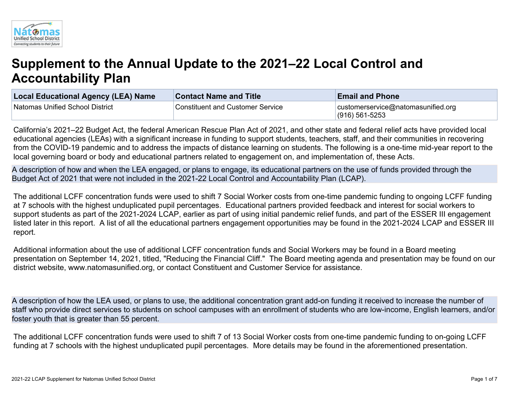

# **Supplement to the Annual Update to the 2021–22 Local Control and Accountability Plan**

| Local Educational Agency (LEA) Name | <b>Contact Name and Title</b>           | <b>Email and Phone</b>                               |
|-------------------------------------|-----------------------------------------|------------------------------------------------------|
| Natomas Unified School District     | <b>Constituent and Customer Service</b> | customerservice@natomasunified.org<br>(916) 561-5253 |

California's 2021–22 Budget Act, the federal American Rescue Plan Act of 2021, and other state and federal relief acts have provided local educational agencies (LEAs) with a significant increase in funding to support students, teachers, staff, and their communities in recovering from the COVID-19 pandemic and to address the impacts of distance learning on students. The following is a one-time mid-year report to the local governing board or body and educational partners related to engagement on, and implementation of, these Acts.

A description of how and when the LEA engaged, or plans to engage, its educational partners on the use of funds provided through the Budget Act of 2021 that were not included in the 2021-22 Local Control and Accountability Plan (LCAP).

The additional LCFF concentration funds were used to shift 7 Social Worker costs from one-time pandemic funding to ongoing LCFF funding at 7 schools with the highest unduplicated pupil percentages. Educational partners provided feedback and interest for social workers to support students as part of the 2021-2024 LCAP, earlier as part of using initial pandemic relief funds, and part of the ESSER III engagement listed later in this report. A list of all the educational partners engagement opportunities may be found in the 2021-2024 LCAP and ESSER III report.

Additional information about the use of additional LCFF concentration funds and Social Workers may be found in a Board meeting presentation on September 14, 2021, titled, "Reducing the Financial Cliff." The Board meeting agenda and presentation may be found on our district website, www.natomasunified.org, or contact Constituent and Customer Service for assistance.

A description of how the LEA used, or plans to use, the additional concentration grant add-on funding it received to increase the number of staff who provide direct services to students on school campuses with an enrollment of students who are low-income, English learners, and/or foster youth that is greater than 55 percent.

The additional LCFF concentration funds were used to shift 7 of 13 Social Worker costs from one-time pandemic funding to on-going LCFF funding at 7 schools with the highest unduplicated pupil percentages. More details may be found in the aforementioned presentation.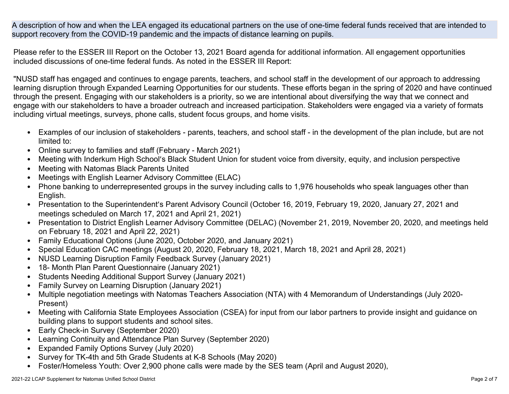A description of how and when the LEA engaged its educational partners on the use of one-time federal funds received that are intended to support recovery from the COVID-19 pandemic and the impacts of distance learning on pupils.

Please refer to the ESSER III Report on the October 13, 2021 Board agenda for additional information. All engagement opportunities included discussions of one-time federal funds. As noted in the ESSER III Report:

"NUSD staff has engaged and continues to engage parents, teachers, and school staff in the development of our approach to addressing learning disruption through Expanded Learning Opportunities for our students. These efforts began in the spring of 2020 and have continued through the present. Engaging with our stakeholders is a priority, so we are intentional about diversifying the way that we connect and engage with our stakeholders to have a broader outreach and increased participation. Stakeholders were engaged via a variety of formats including virtual meetings, surveys, phone calls, student focus groups, and home visits.

- Examples of our inclusion of stakeholders parents, teachers, and school staff in the development of the plan include, but are not limited to:
- Online survey to families and staff (February March 2021)
- Meeting with Inderkum High School's Black Student Union for student voice from diversity, equity, and inclusion perspective
- Meeting with Natomas Black Parents United
- Meetings with English Learner Advisory Committee (ELAC)
- Phone banking to underrepresented groups in the survey including calls to 1,976 households who speak languages other than English.
- Presentation to the Superintendent's Parent Advisory Council (October 16, 2019, February 19, 2020, January 27, 2021 and meetings scheduled on March 17, 2021 and April 21, 2021)
- Presentation to District English Learner Advisory Committee (DELAC) (November 21, 2019, November 20, 2020, and meetings held on February 18, 2021 and April 22, 2021)
- Family Educational Options (June 2020, October 2020, and January 2021)
- Special Education CAC meetings (August 20, 2020, February 18, 2021, March 18, 2021 and April 28, 2021)
- NUSD Learning Disruption Family Feedback Survey (January 2021)
- 18- Month Plan Parent Questionnaire (January 2021)
- Students Needing Additional Support Survey (January 2021)
- Family Survey on Learning Disruption (January 2021)
- Multiple negotiation meetings with Natomas Teachers Association (NTA) with 4 Memorandum of Understandings (July 2020- Present)
- Meeting with California State Employees Association (CSEA) for input from our labor partners to provide insight and guidance on building plans to support students and school sites.
- Early Check-in Survey (September 2020)
- Learning Continuity and Attendance Plan Survey (September 2020)
- Expanded Family Options Survey (July 2020)
- Survey for TK-4th and 5th Grade Students at K-8 Schools (May 2020)
- Foster/Homeless Youth: Over 2,900 phone calls were made by the SES team (April and August 2020),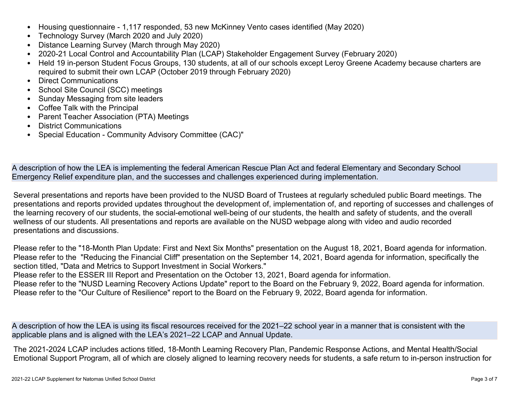- Housing questionnaire 1,117 responded, 53 new McKinney Vento cases identified (May 2020)
- Technology Survey (March 2020 and July 2020)
- Distance Learning Survey (March through May 2020)
- 2020-21 Local Control and Accountability Plan (LCAP) Stakeholder Engagement Survey (February 2020)
- Held 19 in-person Student Focus Groups, 130 students, at all of our schools except Leroy Greene Academy because charters are required to submit their own LCAP (October 2019 through February 2020)
- Direct Communications
- School Site Council (SCC) meetings
- Sunday Messaging from site leaders
- Coffee Talk with the Principal
- Parent Teacher Association (PTA) Meetings
- District Communications
- Special Education Community Advisory Committee (CAC)"

A description of how the LEA is implementing the federal American Rescue Plan Act and federal Elementary and Secondary School Emergency Relief expenditure plan, and the successes and challenges experienced during implementation.

Several presentations and reports have been provided to the NUSD Board of Trustees at regularly scheduled public Board meetings. The presentations and reports provided updates throughout the development of, implementation of, and reporting of successes and challenges of the learning recovery of our students, the social-emotional well-being of our students, the health and safety of students, and the overall wellness of our students. All presentations and reports are available on the NUSD webpage along with video and audio recorded presentations and discussions.

Please refer to the "18-Month Plan Update: First and Next Six Months" presentation on the August 18, 2021, Board agenda for information. Please refer to the "Reducing the Financial Cliff" presentation on the September 14, 2021, Board agenda for information, specifically the section titled, "Data and Metrics to Support Investment in Social Workers."

Please refer to the ESSER III Report and Presentation on the October 13, 2021, Board agenda for information.

Please refer to the "NUSD Learning Recovery Actions Update" report to the Board on the February 9, 2022, Board agenda for information. Please refer to the "Our Culture of Resilience" report to the Board on the February 9, 2022, Board agenda for information.

A description of how the LEA is using its fiscal resources received for the 2021–22 school year in a manner that is consistent with the applicable plans and is aligned with the LEA's 2021–22 LCAP and Annual Update.

The 2021-2024 LCAP includes actions titled, 18-Month Learning Recovery Plan, Pandemic Response Actions, and Mental Health/Social Emotional Support Program, all of which are closely aligned to learning recovery needs for students, a safe return to in-person instruction for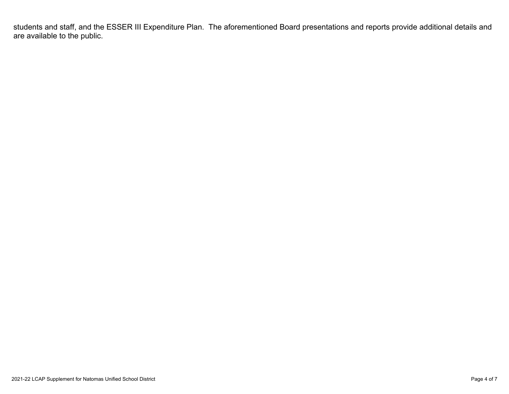students and staff, and the ESSER III Expenditure Plan. The aforementioned Board presentations and reports provide additional details and are available to the public.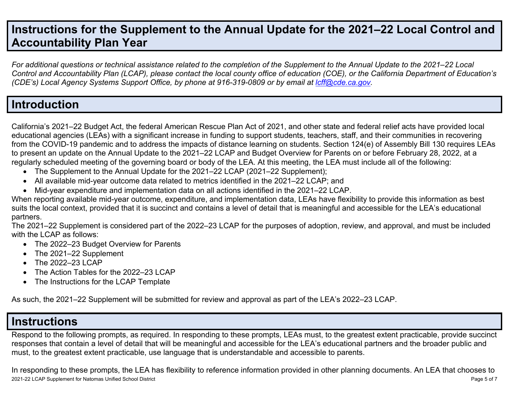# **Instructions for the Supplement to the Annual Update for the 2021–22 Local Control and Accountability Plan Year**

For additional questions or technical assistance related to the completion of the Supplement to the Annual Update to the 2021–22 Local Control and Accountability Plan (LCAP), please contact the local county office of education (COE), or the California Department of Education's *(CDE's) Local Agency Systems Support Office, by phone at 916-319-0809 or by email at [lcff@cde.ca.gov](mailto:lcff@cde.ca.gov).*

## **Introduction**

California's 2021–22 Budget Act, the federal American Rescue Plan Act of 2021, and other state and federal relief acts have provided local educational agencies (LEAs) with a significant increase in funding to support students, teachers, staff, and their communities in recovering from the COVID-19 pandemic and to address the impacts of distance learning on students. Section 124(e) of Assembly Bill 130 requires LEAs to present an update on the Annual Update to the 2021–22 LCAP and Budget Overview for Parents on or before February 28, 2022, at a regularly scheduled meeting of the governing board or body of the LEA. At this meeting, the LEA must include all of the following:

- The Supplement to the Annual Update for the 2021–22 LCAP (2021–22 Supplement);
- All available mid-year outcome data related to metrics identified in the 2021–22 LCAP; and
- Mid-year expenditure and implementation data on all actions identified in the 2021–22 LCAP.

When reporting available mid-year outcome, expenditure, and implementation data, LEAs have flexibility to provide this information as best suits the local context, provided that it is succinct and contains a level of detail that is meaningful and accessible for the LEA's educational partners.

The 2021–22 Supplement is considered part of the 2022–23 LCAP for the purposes of adoption, review, and approval, and must be included with the LCAP as follows:

- The 2022–23 Budget Overview for Parents
- The 2021–22 Supplement
- The 2022-23 LCAP
- The Action Tables for the 2022–23 LCAP
- The Instructions for the LCAP Template

As such, the 2021–22 Supplement will be submitted for review and approval as part of the LEA's 2022–23 LCAP.

# **Instructions**

Respond to the following prompts, as required. In responding to these prompts, LEAs must, to the greatest extent practicable, provide succinct responses that contain a level of detail that will be meaningful and accessible for the LEA's educational partners and the broader public and must, to the greatest extent practicable, use language that is understandable and accessible to parents.

2021-22 LCAP Supplement for Natomas Unified School District Page 5 of 7 In responding to these prompts, the LEA has flexibility to reference information provided in other planning documents. An LEA that chooses to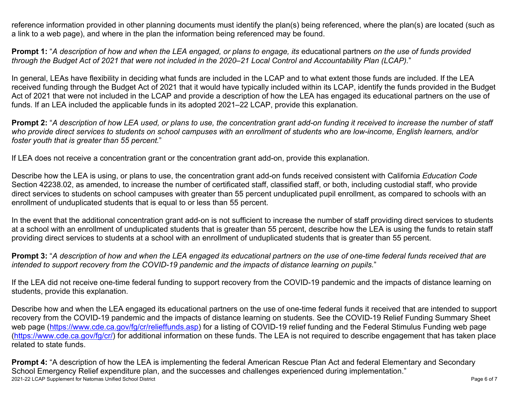reference information provided in other planning documents must identify the plan(s) being referenced, where the plan(s) are located (such as a link to a web page), and where in the plan the information being referenced may be found.

**Prompt 1:** "A description of how and when the LEA engaged, or plans to engage, its educational partners on the use of funds provided through the Budget Act of 2021 that were not included in the 2020–21 Local Control and Accountability Plan (LCAP)."

In general, LEAs have flexibility in deciding what funds are included in the LCAP and to what extent those funds are included. If the LEA received funding through the Budget Act of 2021 that it would have typically included within its LCAP, identify the funds provided in the Budget Act of 2021 that were not included in the LCAP and provide a description of how the LEA has engaged its educational partners on the use of funds. If an LEA included the applicable funds in its adopted 2021–22 LCAP, provide this explanation.

**Prompt 2:** "A description of how LEA used, or plans to use, the concentration grant add-on funding it received to increase the number of staff who provide direct services to students on school campuses with an enrollment of students who are low-income, English learners, and/or *foster youth that is greater than 55 percent.*"

If LEA does not receive a concentration grant or the concentration grant add-on, provide this explanation.

Describe how the LEA is using, or plans to use, the concentration grant add-on funds received consistent with California *Education Code* Section 42238.02, as amended, to increase the number of certificated staff, classified staff, or both, including custodial staff, who provide direct services to students on school campuses with greater than 55 percent unduplicated pupil enrollment, as compared to schools with an enrollment of unduplicated students that is equal to or less than 55 percent.

In the event that the additional concentration grant add-on is not sufficient to increase the number of staff providing direct services to students at a school with an enrollment of unduplicated students that is greater than 55 percent, describe how the LEA is using the funds to retain staff providing direct services to students at a school with an enrollment of unduplicated students that is greater than 55 percent.

**Prompt 3:** "A description of how and when the LEA engaged its educational partners on the use of one-time federal funds received that are *intended to support recovery from the COVID-19 pandemic and the impacts of distance learning on pupils.*"

If the LEA did not receive one-time federal funding to support recovery from the COVID-19 pandemic and the impacts of distance learning on students, provide this explanation.

Describe how and when the LEA engaged its educational partners on the use of one-time federal funds it received that are intended to support recovery from the COVID-19 pandemic and the impacts of distance learning on students. See the COVID-19 Relief Funding Summary Sheet web page [\(https://www.cde.ca.gov/fg/cr/relieffunds.asp\)](https://www.cde.ca.gov/fg/cr/relieffunds.asp) for a listing of COVID-19 relief funding and the Federal Stimulus Funding web page (<https://www.cde.ca.gov/fg/cr/>) for additional information on these funds. The LEA is not required to describe engagement that has taken place related to state funds.

2021-22 LCAP Supplement for Natomas Unified School District **National School District** Page 6 of 7 **Prompt 4:** "A description of how the LEA is implementing the federal American Rescue Plan Act and federal Elementary and Secondary School Emergency Relief expenditure plan, and the successes and challenges experienced during implementation."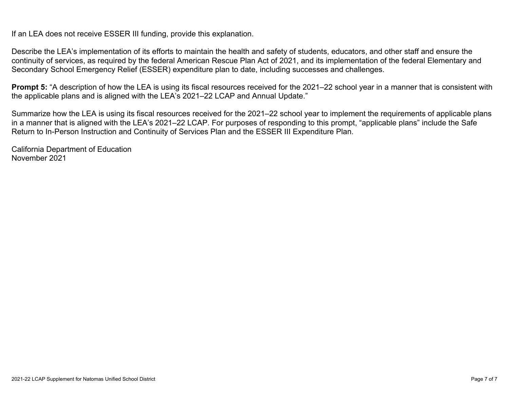If an LEA does not receive ESSER III funding, provide this explanation.

Describe the LEA's implementation of its efforts to maintain the health and safety of students, educators, and other staff and ensure the continuity of services, as required by the federal American Rescue Plan Act of 2021, and its implementation of the federal Elementary and Secondary School Emergency Relief (ESSER) expenditure plan to date, including successes and challenges.

**Prompt 5:** "A description of how the LEA is using its fiscal resources received for the 2021–22 school year in a manner that is consistent with the applicable plans and is aligned with the LEA's 2021–22 LCAP and Annual Update."

Summarize how the LEA is using its fiscal resources received for the 2021–22 school year to implement the requirements of applicable plans in a manner that is aligned with the LEA's 2021–22 LCAP. For purposes of responding to this prompt, "applicable plans" include the Safe Return to In-Person Instruction and Continuity of Services Plan and the ESSER III Expenditure Plan.

California Department of Education November 2021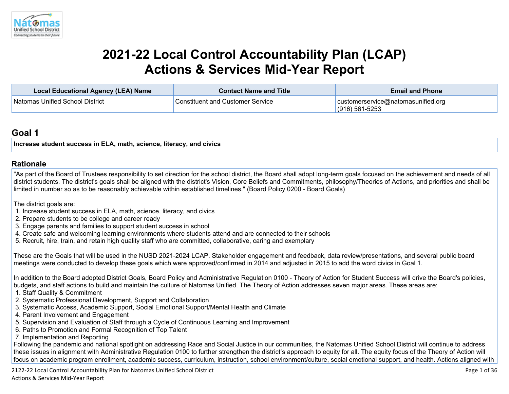

# **2021-22 Local Control Accountability Plan (LCAP) Actions & Services Mid-Year Report**

| <b>Local Educational Agency (LEA) Name</b> | <b>Contact Name and Title</b>           | <b>Email and Phone</b>                                   |
|--------------------------------------------|-----------------------------------------|----------------------------------------------------------|
| Natomas Unified School District            | <b>Constituent and Customer Service</b> | customerservice@natomasunified.org<br>$(916) 561 - 5253$ |

## **[Goal](http://www.doc-tracking.com/screenshots/20LCAP/Instructions/20LCAPInstructions.htm#goalDescription) 1**

**Increase student success in ELA, math, science, literacy, and civics** 

#### **[Rationale](http://www.doc-tracking.com/screenshots/20LCAP/Instructions/20LCAPInstructions.htm#ExplanationofWhytheLEADevelopedGoals)**

"As part of the Board of Trustees responsibility to set direction for the school district, the Board shall adopt long-term goals focused on the achievement and needs of all district students. The district's goals shall be aligned with the district's Vision, Core Beliefs and Commitments, philosophy/Theories of Actions, and priorities and shall be limited in number so as to be reasonably achievable within established timelines." (Board Policy 0200 - Board Goals)

The district goals are:

- 1. Increase student success in ELA, math, science, literacy, and civics
- 2. Prepare students to be college and career ready
- 3. Engage parents and families to support student success in school
- 4. Create safe and welcoming learning environments where students attend and are connected to their schools
- 5. Recruit, hire, train, and retain high quality staff who are committed, collaborative, caring and exemplary

These are the Goals that will be used in the NUSD 2021-2024 LCAP. Stakeholder engagement and feedback, data review/presentations, and several public board meetings were conducted to develop these goals which were approved/confirmed in 2014 and adjusted in 2015 to add the word civics in Goal 1.

In addition to the Board adopted District Goals, Board Policy and Administrative Regulation 0100 - Theory of Action for Student Success will drive the Board's policies, budgets, and staff actions to build and maintain the culture of Natomas Unified. The Theory of Action addresses seven major areas. These areas are:

- 1. Staff Quality & Commitment
- 2. Systematic Professional Development, Support and Collaboration
- 3. Systematic Access, Academic Support, Social Emotional Support/Mental Health and Climate
- 4. Parent Involvement and Engagement
- 5. Supervision and Evaluation of Staff through a Cycle of Continuous Learning and Improvement
- 6. Paths to Promotion and Formal Recognition of Top Talent
- 7. Implementation and Reporting

Following the pandemic and national spotlight on addressing Race and Social Justice in our communities, the Natomas Unified School District will continue to address these issues in alignment with Administrative Regulation 0100 to further strengthen the district's approach to equity for all. The equity focus of the Theory of Action will focus on academic program enrollment, academic success, curriculum, instruction, school environment/culture, social emotional support, and health. Actions aligned with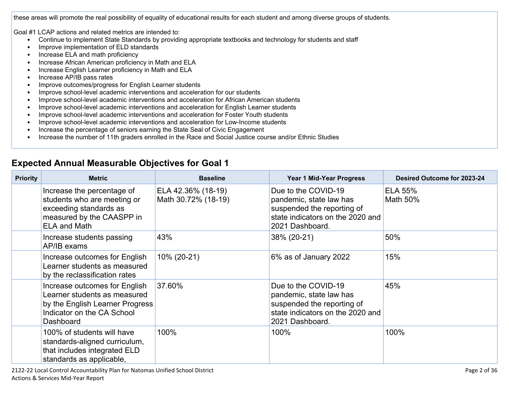these areas will promote the real possibility of equality of educational results for each student and among diverse groups of students.

Goal #1 LCAP actions and related metrics are intended to:

- Continue to implement State Standards by providing appropriate textbooks and technology for students and staff
- Improve implementation of ELD standards
- Increase ELA and math proficiency
- Increase African American proficiency in Math and ELA
- Increase English Learner proficiency in Math and ELA
- Increase AP/IB pass rates
- Improve outcomes/progress for English Learner students
- Improve school-level academic interventions and acceleration for our students
- Improve school-level academic interventions and acceleration for African American students
- Improve school-level academic interventions and acceleration for English Learner students
- Improve school-level academic interventions and acceleration for Foster Youth students
- Improve school-level academic interventions and acceleration for Low-Income students
- Increase the percentage of seniors earning the State Seal of Civic Engagement
- Increase the number of 11th graders enrolled in the Race and Social Justice course and/or Ethnic Studies

| <b>Priority</b> | <b>Metric</b>                                                                                                                               | <b>Baseline</b>                           | <b>Year 1 Mid-Year Progress</b>                                                                                                     | Desired Outcome for 2023-24 |
|-----------------|---------------------------------------------------------------------------------------------------------------------------------------------|-------------------------------------------|-------------------------------------------------------------------------------------------------------------------------------------|-----------------------------|
|                 | Increase the percentage of<br>students who are meeting or<br>exceeding standards as<br>measured by the CAASPP in<br><b>ELA and Math</b>     | ELA 42.36% (18-19)<br>Math 30.72% (18-19) | Due to the COVID-19<br>pandemic, state law has<br>suspended the reporting of<br>state indicators on the 2020 and<br>2021 Dashboard. | <b>ELA 55%</b><br>Math 50%  |
|                 | Increase students passing<br>AP/IB exams                                                                                                    | 43%                                       | 38% (20-21)                                                                                                                         | 50%                         |
|                 | Increase outcomes for English<br>Learner students as measured<br>by the reclassification rates                                              | 10% (20-21)                               | 6% as of January 2022                                                                                                               | 15%                         |
|                 | Increase outcomes for English<br>Learner students as measured<br>by the English Learner Progress<br>Indicator on the CA School<br>Dashboard | 37.60%                                    | Due to the COVID-19<br>pandemic, state law has<br>suspended the reporting of<br>state indicators on the 2020 and<br>2021 Dashboard. | 45%                         |
|                 | 100% of students will have<br>standards-aligned curriculum,<br>that includes integrated ELD<br>standards as applicable,                     | 100%                                      | 100%                                                                                                                                | 100%                        |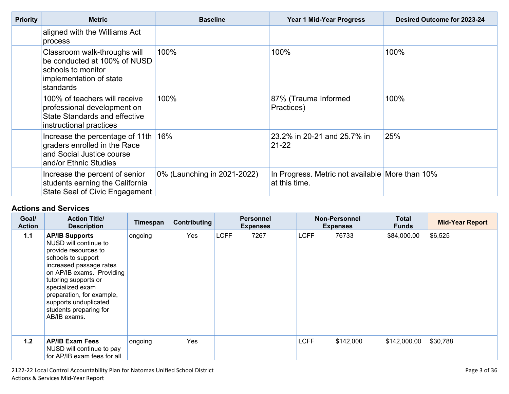| <b>Priority</b> | <b>Metric</b>                                                                                                              | <b>Baseline</b>             | <b>Year 1 Mid-Year Progress</b>                                  | Desired Outcome for 2023-24 |  |
|-----------------|----------------------------------------------------------------------------------------------------------------------------|-----------------------------|------------------------------------------------------------------|-----------------------------|--|
|                 | aligned with the Williams Act<br>process                                                                                   |                             |                                                                  |                             |  |
|                 | Classroom walk-throughs will<br>be conducted at 100% of NUSD<br>schools to monitor<br>implementation of state<br>standards | 100%                        | 100%                                                             | 100%                        |  |
|                 | 100% of teachers will receive<br>professional development on<br>State Standards and effective<br>instructional practices   | 100%                        | 87% (Trauma Informed<br>Practices)                               | 100%                        |  |
|                 | Increase the percentage of 11th 16%<br>graders enrolled in the Race<br>and Social Justice course<br>and/or Ethnic Studies  |                             | 23.2% in 20-21 and 25.7% in<br>$21 - 22$                         | 25%                         |  |
|                 | Increase the percent of senior<br>students earning the California<br>State Seal of Civic Engagement                        | 0% (Launching in 2021-2022) | In Progress. Metric not available More than 10%<br>at this time. |                             |  |

| Goal/<br><b>Action</b> | <b>Action Title/</b><br><b>Description</b>                                                                                                                                                                                                                                                       | Timespan | Contributing |             | <b>Personnel</b><br><b>Expenses</b> |             | <b>Non-Personnel</b><br><b>Expenses</b> | <b>Total</b><br><b>Funds</b> | <b>Mid-Year Report</b> |
|------------------------|--------------------------------------------------------------------------------------------------------------------------------------------------------------------------------------------------------------------------------------------------------------------------------------------------|----------|--------------|-------------|-------------------------------------|-------------|-----------------------------------------|------------------------------|------------------------|
| $1.1$                  | <b>AP/IB Supports</b><br>NUSD will continue to<br>provide resources to<br>schools to support<br>increased passage rates<br>on AP/IB exams. Providing<br>tutoring supports or<br>specialized exam<br>preparation, for example,<br>supports unduplicated<br>students preparing for<br>AB/IB exams. | ongoing  | Yes          | <b>LCFF</b> | 7267                                | <b>LCFF</b> | 76733                                   | \$84,000.00                  | \$6,525                |
| 1.2                    | <b>AP/IB Exam Fees</b><br>NUSD will continue to pay<br>for AP/IB exam fees for all                                                                                                                                                                                                               | ongoing  | Yes          |             |                                     | <b>LCFF</b> | \$142,000                               | \$142,000.00                 | \$30,788               |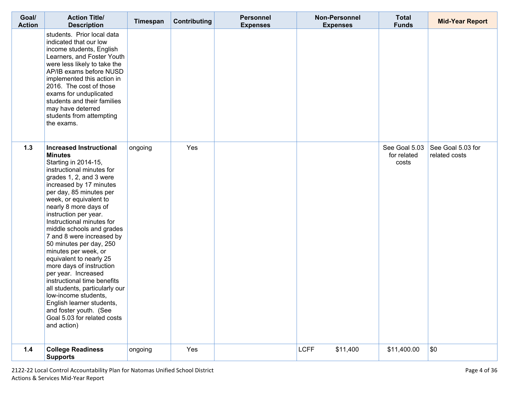| Goal/<br><b>Action</b> | <b>Action Title/</b><br><b>Description</b>                                                                                                                                                                                                                                                                                                                                                                                                                                                                                                                                                                                                                                               | Timespan | <b>Contributing</b> | <b>Personnel</b><br><b>Expenses</b> | <b>Non-Personnel</b><br><b>Expenses</b> | <b>Total</b><br><b>Funds</b>          | <b>Mid-Year Report</b>             |
|------------------------|------------------------------------------------------------------------------------------------------------------------------------------------------------------------------------------------------------------------------------------------------------------------------------------------------------------------------------------------------------------------------------------------------------------------------------------------------------------------------------------------------------------------------------------------------------------------------------------------------------------------------------------------------------------------------------------|----------|---------------------|-------------------------------------|-----------------------------------------|---------------------------------------|------------------------------------|
|                        | students. Prior local data<br>indicated that our low<br>income students, English<br>Learners, and Foster Youth<br>were less likely to take the<br>AP/IB exams before NUSD<br>implemented this action in<br>2016. The cost of those<br>exams for unduplicated<br>students and their families<br>may have deterred<br>students from attempting<br>the exams.                                                                                                                                                                                                                                                                                                                               |          |                     |                                     |                                         |                                       |                                    |
| $1.3$                  | <b>Increased Instructional</b><br><b>Minutes</b><br>Starting in 2014-15,<br>instructional minutes for<br>grades 1, 2, and 3 were<br>increased by 17 minutes<br>per day, 85 minutes per<br>week, or equivalent to<br>nearly 8 more days of<br>instruction per year.<br>Instructional minutes for<br>middle schools and grades<br>7 and 8 were increased by<br>50 minutes per day, 250<br>minutes per week, or<br>equivalent to nearly 25<br>more days of instruction<br>per year. Increased<br>instructional time benefits<br>all students, particularly our<br>low-income students,<br>English learner students,<br>and foster youth. (See<br>Goal 5.03 for related costs<br>and action) | ongoing  | Yes                 |                                     |                                         | See Goal 5.03<br>for related<br>costs | See Goal 5.03 for<br>related costs |
| 1.4                    | <b>College Readiness</b><br><b>Supports</b>                                                                                                                                                                                                                                                                                                                                                                                                                                                                                                                                                                                                                                              | ongoing  | Yes                 |                                     | <b>LCFF</b><br>\$11,400                 | \$11,400.00                           | \$0                                |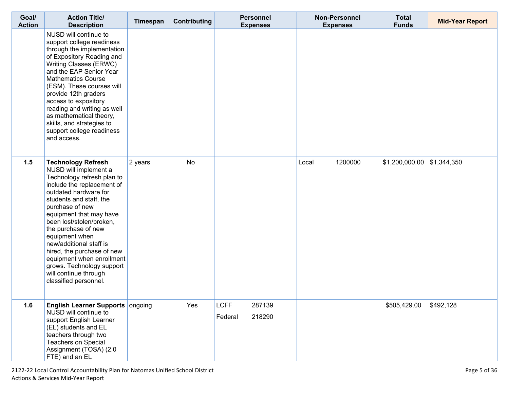| Goal/<br><b>Action</b> | <b>Action Title/</b><br><b>Description</b>                                                                                                                                                                                                                                                                                                                                                                                                                 | Timespan | Contributing | <b>Personnel</b><br><b>Expenses</b>        | <b>Non-Personnel</b><br><b>Expenses</b> | <b>Total</b><br><b>Funds</b> | <b>Mid-Year Report</b> |
|------------------------|------------------------------------------------------------------------------------------------------------------------------------------------------------------------------------------------------------------------------------------------------------------------------------------------------------------------------------------------------------------------------------------------------------------------------------------------------------|----------|--------------|--------------------------------------------|-----------------------------------------|------------------------------|------------------------|
|                        | NUSD will continue to<br>support college readiness<br>through the implementation<br>of Expository Reading and<br>Writing Classes (ERWC)<br>and the EAP Senior Year<br><b>Mathematics Course</b><br>(ESM). These courses will<br>provide 12th graders<br>access to expository<br>reading and writing as well<br>as mathematical theory,<br>skills, and strategies to<br>support college readiness<br>and access.                                            |          |              |                                            |                                         |                              |                        |
| 1.5                    | <b>Technology Refresh</b><br>NUSD will implement a<br>Technology refresh plan to<br>include the replacement of<br>outdated hardware for<br>students and staff, the<br>purchase of new<br>equipment that may have<br>been lost/stolen/broken,<br>the purchase of new<br>equipment when<br>new/additional staff is<br>hired, the purchase of new<br>equipment when enrollment<br>grows. Technology support<br>will continue through<br>classified personnel. | 2 years  | No           |                                            | 1200000<br>Local                        | $$1,200,000.00$ \\$1,344,350 |                        |
| 1.6                    | <b>English Learner Supports ongoing</b><br>NUSD will continue to<br>support English Learner<br>(EL) students and EL<br>teachers through two<br>Teachers on Special<br>Assignment (TOSA) (2.0<br>FTE) and an EL                                                                                                                                                                                                                                             |          | Yes          | <b>LCFF</b><br>287139<br>Federal<br>218290 |                                         | \$505,429.00                 | \$492,128              |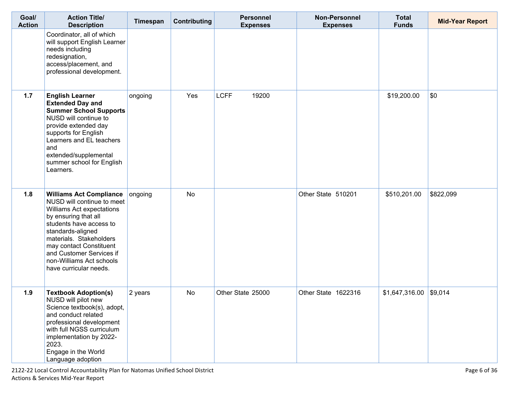| Goal/<br><b>Action</b> | <b>Action Title/</b><br><b>Description</b>                                                                                                                                                                                                                                                                | Timespan | Contributing | <b>Personnel</b><br><b>Expenses</b> | <b>Non-Personnel</b><br><b>Expenses</b> | <b>Total</b><br><b>Funds</b> | <b>Mid-Year Report</b> |
|------------------------|-----------------------------------------------------------------------------------------------------------------------------------------------------------------------------------------------------------------------------------------------------------------------------------------------------------|----------|--------------|-------------------------------------|-----------------------------------------|------------------------------|------------------------|
|                        | Coordinator, all of which<br>will support English Learner<br>needs including<br>redesignation,<br>access/placement, and<br>professional development.                                                                                                                                                      |          |              |                                     |                                         |                              |                        |
| $1.7$                  | <b>English Learner</b><br><b>Extended Day and</b><br><b>Summer School Supports</b><br>NUSD will continue to<br>provide extended day<br>supports for English<br>Learners and EL teachers<br>and<br>extended/supplemental<br>summer school for English<br>Learners.                                         | ongoing  | Yes          | <b>LCFF</b><br>19200                |                                         | \$19,200.00                  | \$0                    |
| 1.8                    | <b>Williams Act Compliance</b><br>NUSD will continue to meet<br>Williams Act expectations<br>by ensuring that all<br>students have access to<br>standards-aligned<br>materials. Stakeholders<br>may contact Constituent<br>and Customer Services if<br>non-Williams Act schools<br>have curricular needs. | ongoing  | No           |                                     | Other State 510201                      | \$510,201.00                 | \$822,099              |
| 1.9                    | <b>Textbook Adoption(s)</b><br>NUSD will pilot new<br>Science textbook(s), adopt,<br>and conduct related<br>professional development<br>with full NGSS curriculum<br>implementation by 2022-<br>2023.<br>Engage in the World<br>Language adoption                                                         | 2 years  | <b>No</b>    | Other State 25000                   | Other State 1622316                     | \$1,647,316.00               | \$9,014                |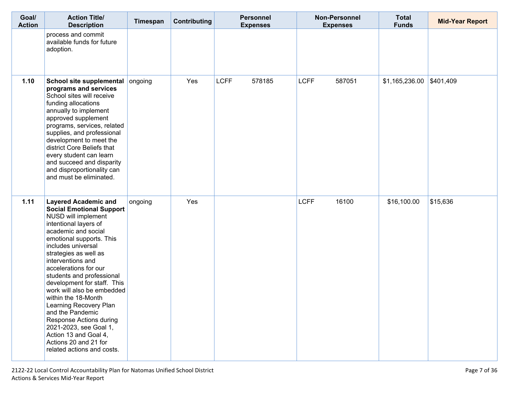| Goal/<br><b>Action</b> | <b>Action Title/</b><br><b>Description</b>                                                                                                                                                                                                                                                                                                                                                                                                                                                                                                                         | Timespan | <b>Contributing</b> | <b>Personnel</b><br><b>Expenses</b> | Non-Personnel<br><b>Expenses</b> | <b>Total</b><br><b>Funds</b> | <b>Mid-Year Report</b> |
|------------------------|--------------------------------------------------------------------------------------------------------------------------------------------------------------------------------------------------------------------------------------------------------------------------------------------------------------------------------------------------------------------------------------------------------------------------------------------------------------------------------------------------------------------------------------------------------------------|----------|---------------------|-------------------------------------|----------------------------------|------------------------------|------------------------|
|                        | process and commit<br>available funds for future<br>adoption.                                                                                                                                                                                                                                                                                                                                                                                                                                                                                                      |          |                     |                                     |                                  |                              |                        |
| $1.10$                 | School site supplemental<br>programs and services<br>School sites will receive<br>funding allocations<br>annually to implement<br>approved supplement<br>programs, services, related<br>supplies, and professional<br>development to meet the<br>district Core Beliefs that<br>every student can learn<br>and succeed and disparity<br>and disproportionality can<br>and must be eliminated.                                                                                                                                                                       | ongoing  | Yes                 | <b>LCFF</b><br>578185               | <b>LCFF</b><br>587051            | \$1,165,236.00               | \$401,409              |
| 1.11                   | <b>Layered Academic and</b><br><b>Social Emotional Support</b><br>NUSD will implement<br>intentional layers of<br>academic and social<br>emotional supports. This<br>includes universal<br>strategies as well as<br>interventions and<br>accelerations for our<br>students and professional<br>development for staff. This<br>work will also be embedded<br>within the 18-Month<br>Learning Recovery Plan<br>and the Pandemic<br>Response Actions during<br>2021-2023, see Goal 1,<br>Action 13 and Goal 4,<br>Actions 20 and 21 for<br>related actions and costs. | ongoing  | Yes                 |                                     | <b>LCFF</b><br>16100             | \$16,100.00                  | \$15,636               |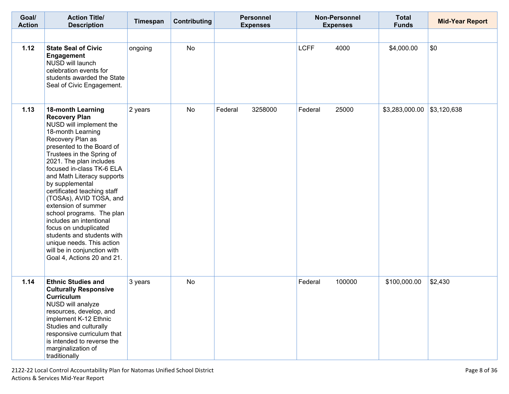| Goal/<br><b>Action</b> | <b>Action Title/</b><br><b>Description</b>                                                                                                                                                                                                                                                                                                                                                                                                                                                                                                                                        | Timespan | Contributing | <b>Personnel</b><br><b>Expenses</b> | <b>Non-Personnel</b><br><b>Expenses</b> | <b>Total</b><br><b>Funds</b> | <b>Mid-Year Report</b> |
|------------------------|-----------------------------------------------------------------------------------------------------------------------------------------------------------------------------------------------------------------------------------------------------------------------------------------------------------------------------------------------------------------------------------------------------------------------------------------------------------------------------------------------------------------------------------------------------------------------------------|----------|--------------|-------------------------------------|-----------------------------------------|------------------------------|------------------------|
|                        |                                                                                                                                                                                                                                                                                                                                                                                                                                                                                                                                                                                   |          |              |                                     |                                         |                              |                        |
| 1.12                   | <b>State Seal of Civic</b><br>Engagement<br>NUSD will launch<br>celebration events for<br>students awarded the State<br>Seal of Civic Engagement.                                                                                                                                                                                                                                                                                                                                                                                                                                 | ongoing  | <b>No</b>    |                                     | <b>LCFF</b><br>4000                     | \$4,000.00                   | \$0                    |
| 1.13                   | <b>18-month Learning</b><br><b>Recovery Plan</b><br>NUSD will implement the<br>18-month Learning<br>Recovery Plan as<br>presented to the Board of<br>Trustees in the Spring of<br>2021. The plan includes<br>focused in-class TK-6 ELA<br>and Math Literacy supports<br>by supplemental<br>certificated teaching staff<br>(TOSAs), AVID TOSA, and<br>extension of summer<br>school programs. The plan<br>includes an intentional<br>focus on unduplicated<br>students and students with<br>unique needs. This action<br>will be in conjunction with<br>Goal 4, Actions 20 and 21. | 2 years  | No           | Federal<br>3258000                  | 25000<br>Federal                        | \$3,283,000.00               | \$3,120,638            |
| 1.14                   | <b>Ethnic Studies and</b><br><b>Culturally Responsive</b><br><b>Curriculum</b><br>NUSD will analyze<br>resources, develop, and<br>implement K-12 Ethnic<br>Studies and culturally<br>responsive curriculum that<br>is intended to reverse the<br>marginalization of<br>traditionally                                                                                                                                                                                                                                                                                              | 3 years  | <b>No</b>    |                                     | 100000<br>Federal                       | \$100,000.00                 | \$2,430                |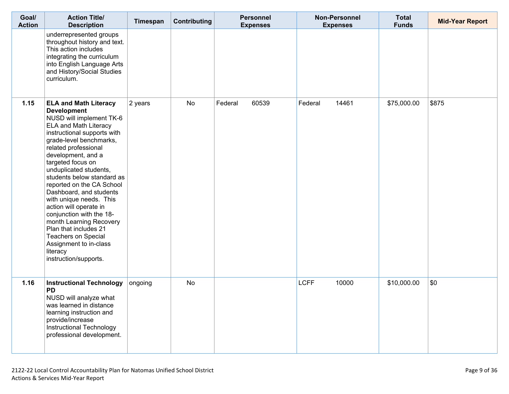| Goal/<br><b>Action</b> | <b>Action Title/</b><br><b>Description</b>                                                                                                                                                                                                                                                                                                                                                                                                                                                                                                                                             | Timespan | Contributing | <b>Personnel</b><br><b>Expenses</b> | Non-Personnel<br><b>Expenses</b> | <b>Total</b><br><b>Funds</b> | <b>Mid-Year Report</b> |
|------------------------|----------------------------------------------------------------------------------------------------------------------------------------------------------------------------------------------------------------------------------------------------------------------------------------------------------------------------------------------------------------------------------------------------------------------------------------------------------------------------------------------------------------------------------------------------------------------------------------|----------|--------------|-------------------------------------|----------------------------------|------------------------------|------------------------|
|                        | underrepresented groups<br>throughout history and text.<br>This action includes<br>integrating the curriculum<br>into English Language Arts<br>and History/Social Studies<br>curriculum.                                                                                                                                                                                                                                                                                                                                                                                               |          |              |                                     |                                  |                              |                        |
| 1.15                   | <b>ELA and Math Literacy</b><br><b>Development</b><br>NUSD will implement TK-6<br>ELA and Math Literacy<br>instructional supports with<br>grade-level benchmarks,<br>related professional<br>development, and a<br>targeted focus on<br>unduplicated students,<br>students below standard as<br>reported on the CA School<br>Dashboard, and students<br>with unique needs. This<br>action will operate in<br>conjunction with the 18-<br>month Learning Recovery<br>Plan that includes 21<br><b>Teachers on Special</b><br>Assignment to in-class<br>literacy<br>instruction/supports. | 2 years  | <b>No</b>    | 60539<br>Federal                    | 14461<br>Federal                 | \$75,000.00                  | \$875                  |
| 1.16                   | <b>Instructional Technology</b><br><b>PD</b><br>NUSD will analyze what<br>was learned in distance<br>learning instruction and<br>provide/increase<br>Instructional Technology<br>professional development.                                                                                                                                                                                                                                                                                                                                                                             | ongoing  | <b>No</b>    |                                     | <b>LCFF</b><br>10000             | \$10,000.00                  | \$0                    |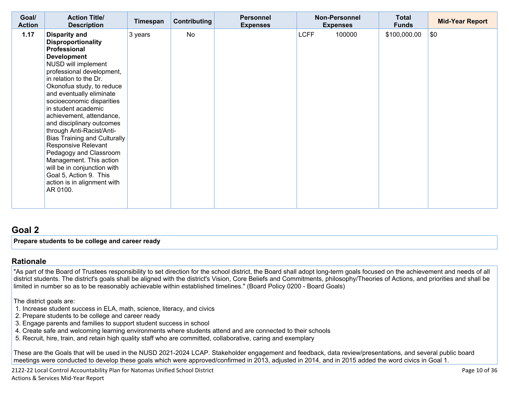| Goal/<br><b>Action</b> | <b>Action Title/</b><br><b>Description</b>                                                                                                                                                                                                                                                                                                                                                                                                                                                                                                                                                      | Timespan | Contributing | <b>Personnel</b><br><b>Expenses</b> | <b>Non-Personnel</b><br><b>Expenses</b> | <b>Total</b><br><b>Funds</b> | <b>Mid-Year Report</b> |
|------------------------|-------------------------------------------------------------------------------------------------------------------------------------------------------------------------------------------------------------------------------------------------------------------------------------------------------------------------------------------------------------------------------------------------------------------------------------------------------------------------------------------------------------------------------------------------------------------------------------------------|----------|--------------|-------------------------------------|-----------------------------------------|------------------------------|------------------------|
| 1.17                   | <b>Disparity and</b><br><b>Disproportionality</b><br>Professional<br><b>Development</b><br>NUSD will implement<br>professional development,<br>in relation to the Dr.<br>Okonofua study, to reduce<br>and eventually eliminate<br>socioeconomic disparities<br>in student academic<br>achievement, attendance,<br>and disciplinary outcomes<br>through Anti-Racist/Anti-<br>Bias Training and Culturally<br><b>Responsive Relevant</b><br>Pedagogy and Classroom<br>Management. This action<br>will be in conjunction with<br>Goal 5, Action 9. This<br>action is in alignment with<br>AR 0100. | 3 years  | <b>No</b>    |                                     | <b>LCFF</b><br>100000                   | \$100,000.00                 | \$0                    |

### **[Goal](http://www.doc-tracking.com/screenshots/20LCAP/Instructions/20LCAPInstructions.htm#goalDescription) 2**

**Prepare students to be college and career ready** 

#### **[Rationale](http://www.doc-tracking.com/screenshots/20LCAP/Instructions/20LCAPInstructions.htm#ExplanationofWhytheLEADevelopedGoals)**

"As part of the Board of Trustees responsibility to set direction for the school district, the Board shall adopt long-term goals focused on the achievement and needs of all district students. The district's goals shall be aligned with the district's Vision, Core Beliefs and Commitments, philosophy/Theories of Actions, and priorities and shall be limited in number so as to be reasonably achievable within established timelines." (Board Policy 0200 - Board Goals)

The district goals are:

- 1. Increase student success in ELA, math, science, literacy, and civics
- 2. Prepare students to be college and career ready
- 3. Engage parents and families to support student success in school
- 4. Create safe and welcoming learning environments where students attend and are connected to their schools
- 5. Recruit, hire, train, and retain high quality staff who are committed, collaborative, caring and exemplary

These are the Goals that will be used in the NUSD 2021-2024 LCAP. Stakeholder engagement and feedback, data review/presentations, and several public board meetings were conducted to develop these goals which were approved/confirmed in 2013, adjusted in 2014, and in 2015 added the word civics in Goal 1.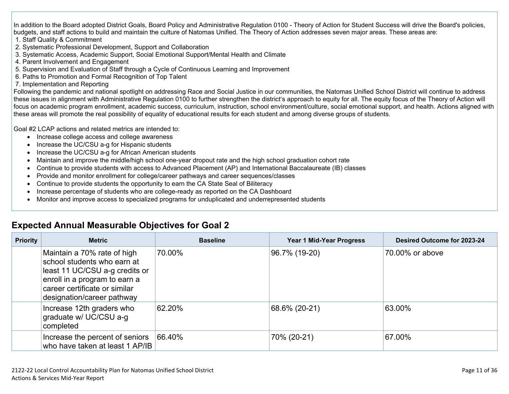In addition to the Board adopted District Goals, Board Policy and Administrative Regulation 0100 - Theory of Action for Student Success will drive the Board's policies, budgets, and staff actions to build and maintain the culture of Natomas Unified. The Theory of Action addresses seven major areas. These areas are:

- 1. Staff Quality & Commitment
- 2. Systematic Professional Development, Support and Collaboration
- 3. Systematic Access, Academic Support, Social Emotional Support/Mental Health and Climate
- 4. Parent Involvement and Engagement
- 5. Supervision and Evaluation of Staff through a Cycle of Continuous Learning and Improvement
- 6. Paths to Promotion and Formal Recognition of Top Talent
- 7. Implementation and Reporting

Following the pandemic and national spotlight on addressing Race and Social Justice in our communities, the Natomas Unified School District will continue to address these issues in alignment with Administrative Regulation 0100 to further strengthen the district's approach to equity for all. The equity focus of the Theory of Action will focus on academic program enrollment, academic success, curriculum, instruction, school environment/culture, social emotional support, and health. Actions aligned with these areas will promote the real possibility of equality of educational results for each student and among diverse groups of students.

Goal #2 LCAP actions and related metrics are intended to:

- Increase college access and college awareness
- Increase the UC/CSU a-g for Hispanic students
- Increase the UC/CSU a-g for African American students
- Maintain and improve the middle/high school one-year dropout rate and the high school graduation cohort rate
- Continue to provide students with access to Advanced Placement (AP) and International Baccalaureate (IB) classes
- Provide and monitor enrollment for college/career pathways and career sequences/classes
- Continue to provide students the opportunity to earn the CA State Seal of Biliteracy
- Increase percentage of students who are college-ready as reported on the CA Dashboard
- Monitor and improve access to specialized programs for unduplicated and underrepresented students

| <b>Priority</b> | <b>Metric</b>                                                                                                                                                                                | <b>Baseline</b> | <b>Year 1 Mid-Year Progress</b> | Desired Outcome for 2023-24 |  |
|-----------------|----------------------------------------------------------------------------------------------------------------------------------------------------------------------------------------------|-----------------|---------------------------------|-----------------------------|--|
|                 | Maintain a 70% rate of high<br>school students who earn at<br>least 11 UC/CSU a-g credits or<br>enroll in a program to earn a<br>career certificate or similar<br>designation/career pathway | 70.00%          | 96.7% (19-20)                   | 70.00% or above             |  |
|                 | Increase 12th graders who<br>graduate w/ UC/CSU a-g<br>completed                                                                                                                             | 62.20%          | 68.6% (20-21)                   | 63.00%                      |  |
|                 | Increase the percent of seniors<br>who have taken at least 1 AP/IB                                                                                                                           | 66.40%          | 70% (20-21)                     | 67.00%                      |  |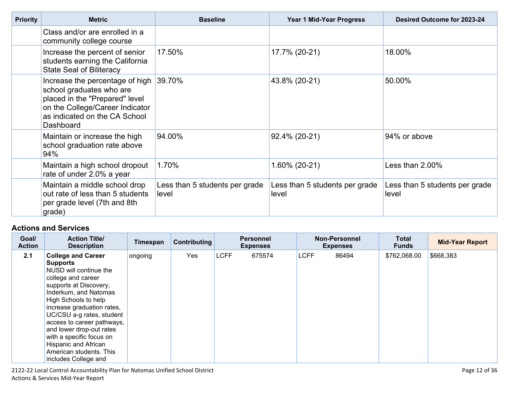| <b>Priority</b> | <b>Metric</b>                                                                                                                                                                  | <b>Baseline</b>                         | Year 1 Mid-Year Progress                | Desired Outcome for 2023-24             |  |
|-----------------|--------------------------------------------------------------------------------------------------------------------------------------------------------------------------------|-----------------------------------------|-----------------------------------------|-----------------------------------------|--|
|                 | Class and/or are enrolled in a<br>community college course                                                                                                                     |                                         |                                         |                                         |  |
|                 | Increase the percent of senior<br>students earning the California<br><b>State Seal of Biliteracy</b>                                                                           | 17.50%                                  | 17.7% (20-21)                           | 18.00%                                  |  |
|                 | Increase the percentage of high<br>school graduates who are<br>placed in the "Prepared" level<br>on the College/Career Indicator<br>as indicated on the CA School<br>Dashboard | 39.70%                                  | 43.8% (20-21)                           | 50.00%                                  |  |
|                 | Maintain or increase the high<br>school graduation rate above<br>94%                                                                                                           | 94.00%                                  | 92.4% (20-21)                           | 94% or above                            |  |
|                 | Maintain a high school dropout<br>rate of under 2.0% a year                                                                                                                    | 1.70%                                   | 1.60% (20-21)                           | Less than $2.00\%$                      |  |
|                 | Maintain a middle school drop<br>out rate of less than 5 students<br>per grade level (7th and 8th<br>grade)                                                                    | Less than 5 students per grade<br>level | Less than 5 students per grade<br>level | Less than 5 students per grade<br>level |  |

| Goal/<br><b>Action</b> | <b>Action Title/</b><br><b>Description</b>                                                                                                                                                                                                                                                                                                                                                          | Timespan | Contributing |             | <b>Personnel</b><br><b>Expenses</b> |             | <b>Non-Personnel</b><br><b>Expenses</b> | <b>Total</b><br><b>Funds</b> | <b>Mid-Year Report</b> |
|------------------------|-----------------------------------------------------------------------------------------------------------------------------------------------------------------------------------------------------------------------------------------------------------------------------------------------------------------------------------------------------------------------------------------------------|----------|--------------|-------------|-------------------------------------|-------------|-----------------------------------------|------------------------------|------------------------|
| 2.1                    | <b>College and Career</b><br><b>Supports</b><br>NUSD will continue the<br>college and career<br>supports at Discovery,<br>Inderkum, and Natomas<br>High Schools to help<br>increase graduation rates,<br>UC/CSU a-g rates, student<br>access to career pathways,<br>and lower drop-out rates<br>with a specific focus on<br>Hispanic and African<br>American students. This<br>includes College and | ongoing  | Yes          | <b>LCFF</b> | 675574                              | <b>LCFF</b> | 86494                                   | \$762,068.00                 | \$668,383              |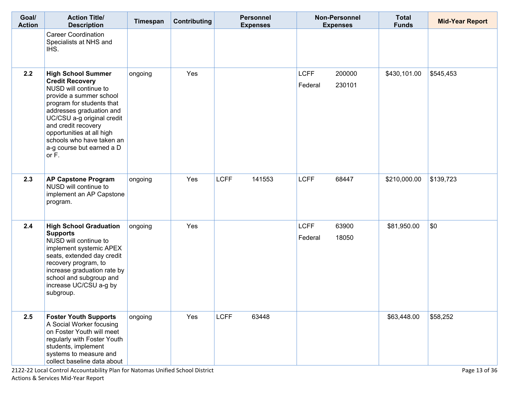| Goal/<br><b>Action</b> | <b>Action Title/</b><br><b>Description</b>                                                                                                                                                                                                                                                                            | Timespan | <b>Contributing</b> |             | <b>Personnel</b><br><b>Expenses</b> |                        | <b>Non-Personnel</b><br><b>Expenses</b> | <b>Total</b><br><b>Funds</b> | <b>Mid-Year Report</b> |
|------------------------|-----------------------------------------------------------------------------------------------------------------------------------------------------------------------------------------------------------------------------------------------------------------------------------------------------------------------|----------|---------------------|-------------|-------------------------------------|------------------------|-----------------------------------------|------------------------------|------------------------|
|                        | <b>Career Coordination</b><br>Specialists at NHS and<br>IHS.                                                                                                                                                                                                                                                          |          |                     |             |                                     |                        |                                         |                              |                        |
| 2.2                    | <b>High School Summer</b><br><b>Credit Recovery</b><br>NUSD will continue to<br>provide a summer school<br>program for students that<br>addresses graduation and<br>UC/CSU a-g original credit<br>and credit recovery<br>opportunities at all high<br>schools who have taken an<br>a-g course but earned a D<br>or F. | ongoing  | Yes                 |             |                                     | <b>LCFF</b><br>Federal | 200000<br>230101                        | \$430,101.00                 | \$545,453              |
| 2.3                    | <b>AP Capstone Program</b><br>NUSD will continue to<br>implement an AP Capstone<br>program.                                                                                                                                                                                                                           | ongoing  | Yes                 | <b>LCFF</b> | 141553                              | <b>LCFF</b>            | 68447                                   | \$210,000.00                 | \$139,723              |
| 2.4                    | <b>High School Graduation</b><br><b>Supports</b><br>NUSD will continue to<br>implement systemic APEX<br>seats, extended day credit<br>recovery program, to<br>increase graduation rate by<br>school and subgroup and<br>increase UC/CSU a-g by<br>subgroup.                                                           | ongoing  | Yes                 |             |                                     | <b>LCFF</b><br>Federal | 63900<br>18050                          | \$81,950.00                  | \$0                    |
| 2.5                    | <b>Foster Youth Supports</b><br>A Social Worker focusing<br>on Foster Youth will meet<br>regularly with Foster Youth<br>students, implement<br>systems to measure and<br>collect baseline data about                                                                                                                  | ongoing  | Yes                 | <b>LCFF</b> | 63448                               |                        |                                         | \$63,448.00                  | \$58,252               |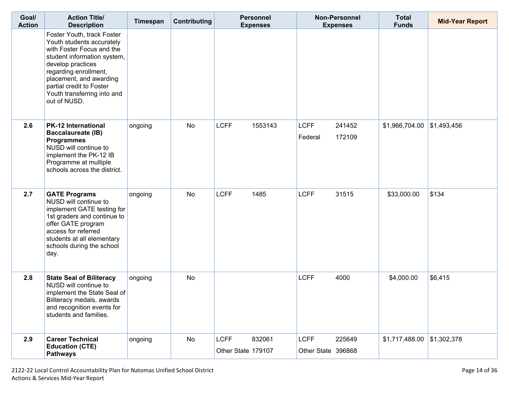| Goal/<br><b>Action</b> | <b>Action Title/</b><br><b>Description</b>                                                                                                                                                                                                                              | Timespan | Contributing | <b>Personnel</b><br><b>Expenses</b>         |                                   | Non-Personnel<br><b>Expenses</b> | <b>Total</b><br><b>Funds</b> | <b>Mid-Year Report</b> |
|------------------------|-------------------------------------------------------------------------------------------------------------------------------------------------------------------------------------------------------------------------------------------------------------------------|----------|--------------|---------------------------------------------|-----------------------------------|----------------------------------|------------------------------|------------------------|
|                        | Foster Youth, track Foster<br>Youth students accurately<br>with Foster Focus and the<br>student information system,<br>develop practices<br>regarding enrollment,<br>placement, and awarding<br>partial credit to Foster<br>Youth transferring into and<br>out of NUSD. |          |              |                                             |                                   |                                  |                              |                        |
| 2.6                    | <b>PK-12 International</b><br><b>Baccalaureate (IB)</b><br><b>Programmes</b><br>NUSD will continue to<br>implement the PK-12 IB<br>Programme at multiple<br>schools across the district.                                                                                | ongoing  | No           | <b>LCFF</b><br>1553143                      | <b>LCFF</b><br>Federal            | 241452<br>172109                 | \$1,966,704.00               | \$1,493,456            |
| 2.7                    | <b>GATE Programs</b><br>NUSD will continue to<br>implement GATE testing for<br>1st graders and continue to<br>offer GATE program<br>access for referred<br>students at all elementary<br>schools during the school<br>day.                                              | ongoing  | <b>No</b>    | <b>LCFF</b><br>1485                         | <b>LCFF</b>                       | 31515                            | \$33,000.00                  | \$134                  |
| 2.8                    | <b>State Seal of Biliteracy</b><br>NUSD will continue to<br>implement the State Seal of<br>Biliteracy medals, awards<br>and recognition events for<br>students and families.                                                                                            | ongoing  | <b>No</b>    |                                             | <b>LCFF</b>                       | 4000                             | \$4,000.00                   | \$6,415                |
| 2.9                    | <b>Career Technical</b><br><b>Education (CTE)</b><br><b>Pathways</b>                                                                                                                                                                                                    | ongoing  | No           | 832061<br><b>LCFF</b><br>Other State 179107 | <b>LCFF</b><br>Other State 396868 | 225649                           | $$1,717,488.00$ \\$1,302,378 |                        |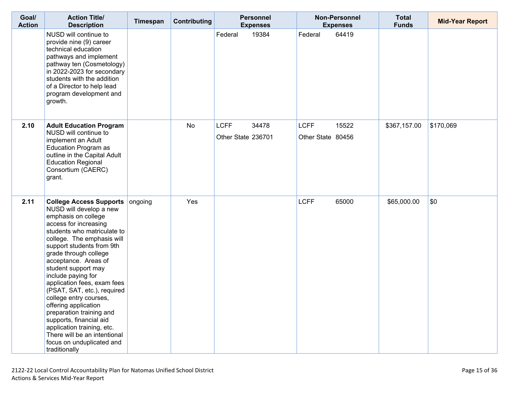| Goal/<br><b>Action</b> | <b>Action Title/</b><br><b>Description</b>                                                                                                                                                                                                                                                                                                                                                                                                                                                                                                                                           | Timespan | <b>Contributing</b> | <b>Personnel</b><br><b>Expenses</b>        | <b>Non-Personnel</b><br><b>Expenses</b>   | <b>Total</b><br><b>Funds</b> | <b>Mid-Year Report</b> |
|------------------------|--------------------------------------------------------------------------------------------------------------------------------------------------------------------------------------------------------------------------------------------------------------------------------------------------------------------------------------------------------------------------------------------------------------------------------------------------------------------------------------------------------------------------------------------------------------------------------------|----------|---------------------|--------------------------------------------|-------------------------------------------|------------------------------|------------------------|
|                        | NUSD will continue to<br>provide nine (9) career<br>technical education<br>pathways and implement<br>pathway ten (Cosmetology)<br>in 2022-2023 for secondary<br>students with the addition<br>of a Director to help lead<br>program development and<br>growth.                                                                                                                                                                                                                                                                                                                       |          |                     | 19384<br>Federal                           | 64419<br>Federal                          |                              |                        |
| 2.10                   | <b>Adult Education Program</b><br>NUSD will continue to<br>implement an Adult<br><b>Education Program as</b><br>outline in the Capital Adult<br><b>Education Regional</b><br>Consortium (CAERC)<br>grant.                                                                                                                                                                                                                                                                                                                                                                            |          | No                  | <b>LCFF</b><br>34478<br>Other State 236701 | <b>LCFF</b><br>15522<br>Other State 80456 | \$367,157.00                 | \$170,069              |
| 2.11                   | <b>College Access Supports</b><br>NUSD will develop a new<br>emphasis on college<br>access for increasing<br>students who matriculate to<br>college. The emphasis will<br>support students from 9th<br>grade through college<br>acceptance. Areas of<br>student support may<br>include paying for<br>application fees, exam fees<br>(PSAT, SAT, etc.), required<br>college entry courses,<br>offering application<br>preparation training and<br>supports, financial aid<br>application training, etc.<br>There will be an intentional<br>focus on unduplicated and<br>traditionally | ongoing  | Yes                 |                                            | <b>LCFF</b><br>65000                      | \$65,000.00                  | \$0                    |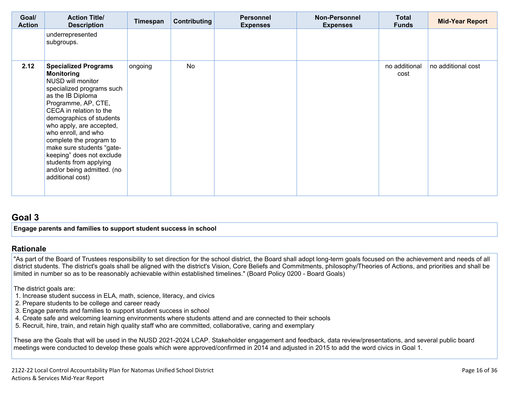| Goal/<br><b>Action</b> | <b>Action Title/</b><br><b>Description</b>                                                                                                                                                                                                                                                                                                                                                                                | Timespan | Contributing | <b>Personnel</b><br><b>Expenses</b> | <b>Non-Personnel</b><br><b>Expenses</b> | <b>Total</b><br><b>Funds</b> | <b>Mid-Year Report</b> |
|------------------------|---------------------------------------------------------------------------------------------------------------------------------------------------------------------------------------------------------------------------------------------------------------------------------------------------------------------------------------------------------------------------------------------------------------------------|----------|--------------|-------------------------------------|-----------------------------------------|------------------------------|------------------------|
|                        | underrepresented<br>subgroups.                                                                                                                                                                                                                                                                                                                                                                                            |          |              |                                     |                                         |                              |                        |
| 2.12                   | <b>Specialized Programs</b><br><b>Monitoring</b><br>NUSD will monitor<br>specialized programs such<br>as the IB Diploma<br>Programme, AP, CTE,<br>CECA in relation to the<br>demographics of students<br>who apply, are accepted,<br>who enroll, and who<br>complete the program to<br>make sure students "gate-<br>keeping" does not exclude<br>students from applying<br>and/or being admitted. (no<br>additional cost) | ongoing  | <b>No</b>    |                                     |                                         | no additional<br>cost        | no additional cost     |

## **[Goal](http://www.doc-tracking.com/screenshots/20LCAP/Instructions/20LCAPInstructions.htm#goalDescription) 3**

**Engage parents and families to support student success in school** 

#### **[Rationale](http://www.doc-tracking.com/screenshots/20LCAP/Instructions/20LCAPInstructions.htm#ExplanationofWhytheLEADevelopedGoals)**

"As part of the Board of Trustees responsibility to set direction for the school district, the Board shall adopt long-term goals focused on the achievement and needs of all district students. The district's goals shall be aligned with the district's Vision, Core Beliefs and Commitments, philosophy/Theories of Actions, and priorities and shall be limited in number so as to be reasonably achievable within established timelines." (Board Policy 0200 - Board Goals)

The district goals are:

- 1. Increase student success in ELA, math, science, literacy, and civics
- 2. Prepare students to be college and career ready
- 3. Engage parents and families to support student success in school
- 4. Create safe and welcoming learning environments where students attend and are connected to their schools
- 5. Recruit, hire, train, and retain high quality staff who are committed, collaborative, caring and exemplary

These are the Goals that will be used in the NUSD 2021-2024 LCAP. Stakeholder engagement and feedback, data review/presentations, and several public board meetings were conducted to develop these goals which were approved/confirmed in 2014 and adjusted in 2015 to add the word civics in Goal 1.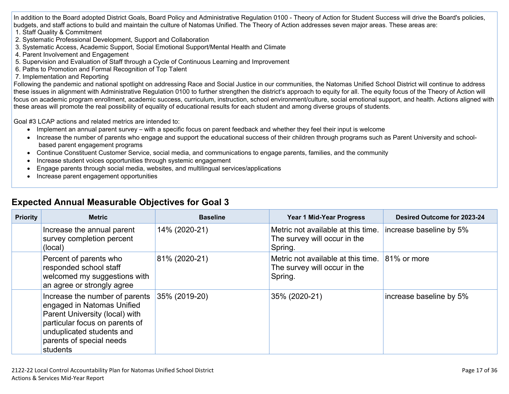In addition to the Board adopted District Goals, Board Policy and Administrative Regulation 0100 - Theory of Action for Student Success will drive the Board's policies, budgets, and staff actions to build and maintain the culture of Natomas Unified. The Theory of Action addresses seven major areas. These areas are:

- 1. Staff Quality & Commitment
- 2. Systematic Professional Development, Support and Collaboration
- 3. Systematic Access, Academic Support, Social Emotional Support/Mental Health and Climate
- 4. Parent Involvement and Engagement
- 5. Supervision and Evaluation of Staff through a Cycle of Continuous Learning and Improvement
- 6. Paths to Promotion and Formal Recognition of Top Talent
- 7. Implementation and Reporting

Following the pandemic and national spotlight on addressing Race and Social Justice in our communities, the Natomas Unified School District will continue to address these issues in alignment with Administrative Regulation 0100 to further strengthen the district's approach to equity for all. The equity focus of the Theory of Action will focus on academic program enrollment, academic success, curriculum, instruction, school environment/culture, social emotional support, and health. Actions aligned with these areas will promote the real possibility of equality of educational results for each student and among diverse groups of students.

Goal #3 LCAP actions and related metrics are intended to:

- Implement an annual parent survey with a specific focus on parent feedback and whether they feel their input is welcome
- Increase the number of parents who engage and support the educational success of their children through programs such as Parent University and schoolbased parent engagement programs
- Continue Constituent Customer Service, social media, and communications to engage parents, families, and the community
- Increase student voices opportunities through systemic engagement
- Engage parents through social media, websites, and multilingual services/applications
- Increase parent engagement opportunities

| <b>Priority</b> | <b>Metric</b>                                                                                                                                                                                         | <b>Baseline</b> | <b>Year 1 Mid-Year Progress</b>                                                           | Desired Outcome for 2023-24 |  |
|-----------------|-------------------------------------------------------------------------------------------------------------------------------------------------------------------------------------------------------|-----------------|-------------------------------------------------------------------------------------------|-----------------------------|--|
|                 | Increase the annual parent<br>survey completion percent<br>(local)                                                                                                                                    | 14% (2020-21)   | Metric not available at this time.<br>The survey will occur in the<br>Spring.             | increase baseline by 5%     |  |
|                 | Percent of parents who<br>responded school staff<br>welcomed my suggestions with<br>an agree or strongly agree                                                                                        | 81% (2020-21)   | Metric not available at this time. 81% or more<br>The survey will occur in the<br>Spring. |                             |  |
|                 | Increase the number of parents<br>engaged in Natomas Unified<br>Parent University (local) with<br>particular focus on parents of<br>unduplicated students and<br>parents of special needs<br>students | 35% (2019-20)   | 35% (2020-21)                                                                             | increase baseline by 5%     |  |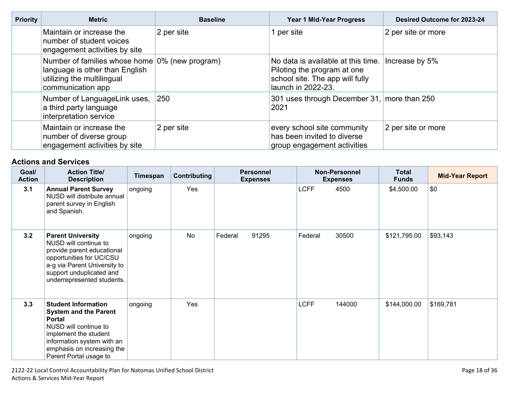| <b>Priority</b> | <b>Metric</b>                                                                                                                       | <b>Baseline</b> | <b>Year 1 Mid-Year Progress</b>                                                                                            | Desired Outcome for 2023-24 |  |
|-----------------|-------------------------------------------------------------------------------------------------------------------------------------|-----------------|----------------------------------------------------------------------------------------------------------------------------|-----------------------------|--|
|                 | Maintain or increase the<br>number of student voices<br>engagement activities by site                                               | 2 per site      | 1 per site                                                                                                                 | 2 per site or more          |  |
|                 | Number of families whose home 0% (new program)<br>language is other than English<br>utilizing the multilingual<br>communication app |                 | No data is available at this time.<br>Piloting the program at one<br>school site. The app will fully<br>launch in 2022-23. | Increase by 5%              |  |
|                 | Number of LanguageLink uses,<br>a third party language<br>interpretation service                                                    | 250             | 301 uses through December 31, more than 250<br>2021                                                                        |                             |  |
|                 | Maintain or increase the<br>number of diverse group<br>engagement activities by site                                                | 2 per site      | every school site community<br>has been invited to diverse<br>group engagement activities                                  | 2 per site or more          |  |

| Goal/<br><b>Action</b> | <b>Action Title/</b><br><b>Description</b>                                                                                                                                                                          | Timespan | Contributing | <b>Personnel</b><br><b>Expenses</b> | <b>Non-Personnel</b><br><b>Expenses</b> | <b>Total</b><br><b>Funds</b> | <b>Mid-Year Report</b> |
|------------------------|---------------------------------------------------------------------------------------------------------------------------------------------------------------------------------------------------------------------|----------|--------------|-------------------------------------|-----------------------------------------|------------------------------|------------------------|
| 3.1                    | <b>Annual Parent Survey</b><br>NUSD will distribute annual<br>parent survey in English<br>and Spanish.                                                                                                              | ongoing  | Yes          |                                     | <b>LCFF</b><br>4500                     | \$4,500.00                   | \$0                    |
| 3.2                    | <b>Parent University</b><br>NUSD will continue to<br>provide parent educational<br>opportunities for UC/CSU<br>a-g via Parent University to<br>support unduplicated and<br>underrepresented students.               | ongoing  | <b>No</b>    | Federal<br>91295                    | 30500<br>Federal                        | \$121,795.00                 | \$93,143               |
| 3.3                    | <b>Student Information</b><br><b>System and the Parent</b><br><b>Portal</b><br>NUSD will continue to<br>implement the student<br>information system with an<br>emphasis on increasing the<br>Parent Portal usage to | ongoing  | Yes          |                                     | <b>LCFF</b><br>144000                   | \$144,000.00                 | \$169,781              |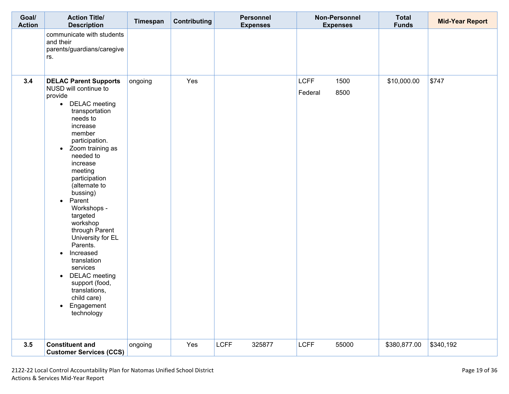| Goal/<br><b>Action</b> | <b>Action Title/</b><br><b>Description</b>                                                                                                                                                                                                                                                                                                                                                                                                                                                                                                                   | Timespan | Contributing | Personnel<br><b>Expenses</b> | <b>Non-Personnel</b><br><b>Expenses</b> | <b>Total</b><br><b>Funds</b> | <b>Mid-Year Report</b> |
|------------------------|--------------------------------------------------------------------------------------------------------------------------------------------------------------------------------------------------------------------------------------------------------------------------------------------------------------------------------------------------------------------------------------------------------------------------------------------------------------------------------------------------------------------------------------------------------------|----------|--------------|------------------------------|-----------------------------------------|------------------------------|------------------------|
|                        | communicate with students<br>and their<br>parents/guardians/caregive<br>rs.                                                                                                                                                                                                                                                                                                                                                                                                                                                                                  |          |              |                              |                                         |                              |                        |
| 3.4                    | <b>DELAC Parent Supports</b><br>NUSD will continue to<br>provide<br>• DELAC meeting<br>transportation<br>needs to<br>increase<br>member<br>participation.<br>• Zoom training as<br>needed to<br>increase<br>meeting<br>participation<br>(alternate to<br>bussing)<br>Parent<br>$\bullet$<br>Workshops -<br>targeted<br>workshop<br>through Parent<br>University for EL<br>Parents.<br>Increased<br>$\bullet$<br>translation<br>services<br><b>DELAC</b> meeting<br>$\bullet$<br>support (food,<br>translations,<br>child care)<br>• Engagement<br>technology | ongoing  | Yes          |                              | <b>LCFF</b><br>1500<br>8500<br>Federal  | \$10,000.00                  | \$747                  |
| 3.5                    | <b>Constituent and</b><br><b>Customer Services (CCS)</b>                                                                                                                                                                                                                                                                                                                                                                                                                                                                                                     | ongoing  | Yes          | <b>LCFF</b><br>325877        | <b>LCFF</b><br>55000                    | \$380,877.00                 | \$340,192              |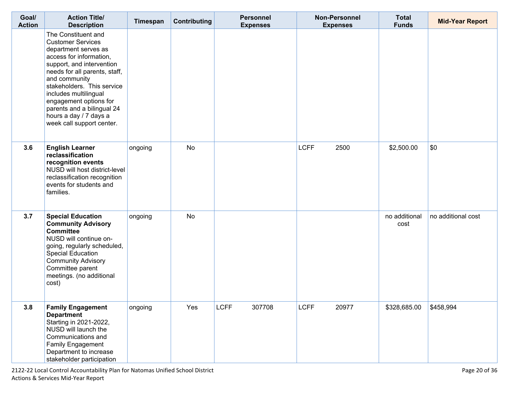| Goal/<br><b>Action</b> | <b>Action Title/</b><br><b>Description</b>                                                                                                                                                                                                                                                                                                              | Timespan | <b>Contributing</b> | <b>Personnel</b><br><b>Expenses</b> | Non-Personnel<br><b>Expenses</b> | <b>Total</b><br><b>Funds</b> | <b>Mid-Year Report</b> |
|------------------------|---------------------------------------------------------------------------------------------------------------------------------------------------------------------------------------------------------------------------------------------------------------------------------------------------------------------------------------------------------|----------|---------------------|-------------------------------------|----------------------------------|------------------------------|------------------------|
|                        | The Constituent and<br><b>Customer Services</b><br>department serves as<br>access for information,<br>support, and intervention<br>needs for all parents, staff,<br>and community<br>stakeholders. This service<br>includes multilingual<br>engagement options for<br>parents and a bilingual 24<br>hours a day / 7 days a<br>week call support center. |          |                     |                                     |                                  |                              |                        |
| 3.6                    | <b>English Learner</b><br>reclassification<br>recognition events<br>NUSD will host district-level<br>reclassification recognition<br>events for students and<br>families.                                                                                                                                                                               | ongoing  | <b>No</b>           |                                     | <b>LCFF</b><br>2500              | \$2,500.00                   | \$0                    |
| 3.7                    | <b>Special Education</b><br><b>Community Advisory</b><br><b>Committee</b><br>NUSD will continue on-<br>going, regularly scheduled,<br><b>Special Education</b><br><b>Community Advisory</b><br>Committee parent<br>meetings. (no additional<br>cost)                                                                                                    | ongoing  | <b>No</b>           |                                     |                                  | no additional<br>cost        | no additional cost     |
| 3.8                    | <b>Family Engagement</b><br><b>Department</b><br>Starting in 2021-2022,<br>NUSD will launch the<br>Communications and<br>Family Engagement<br>Department to increase<br>stakeholder participation                                                                                                                                                       | ongoing  | Yes                 | <b>LCFF</b><br>307708               | <b>LCFF</b><br>20977             | \$328,685.00                 | \$458,994              |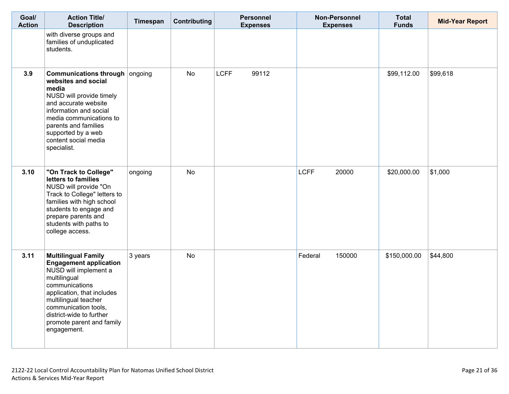| Goal/<br><b>Action</b> | <b>Action Title/</b><br><b>Description</b>                                                                                                                                                                                                                                   | Timespan | Contributing | <b>Personnel</b><br><b>Expenses</b> | <b>Non-Personnel</b><br><b>Expenses</b> | <b>Total</b><br><b>Funds</b> | <b>Mid-Year Report</b> |
|------------------------|------------------------------------------------------------------------------------------------------------------------------------------------------------------------------------------------------------------------------------------------------------------------------|----------|--------------|-------------------------------------|-----------------------------------------|------------------------------|------------------------|
|                        | with diverse groups and<br>families of unduplicated<br>students.                                                                                                                                                                                                             |          |              |                                     |                                         |                              |                        |
| 3.9                    | <b>Communications through ongoing</b><br>websites and social<br>media<br>NUSD will provide timely<br>and accurate website<br>information and social<br>media communications to<br>parents and families<br>supported by a web<br>content social media<br>specialist.          |          | <b>No</b>    | 99112<br><b>LCFF</b>                |                                         | \$99,112.00                  | \$99,618               |
| 3.10                   | "On Track to College"<br>letters to families<br>NUSD will provide "On<br>Track to College" letters to<br>families with high school<br>students to engage and<br>prepare parents and<br>students with paths to<br>college access.                                             | ongoing  | <b>No</b>    |                                     | <b>LCFF</b><br>20000                    | \$20,000.00                  | \$1,000                |
| 3.11                   | <b>Multilingual Family</b><br><b>Engagement application</b><br>NUSD will implement a<br>multilingual<br>communications<br>application, that includes<br>multilingual teacher<br>communication tools,<br>district-wide to further<br>promote parent and family<br>engagement. | 3 years  | <b>No</b>    |                                     | Federal<br>150000                       | \$150,000.00                 | \$44,800               |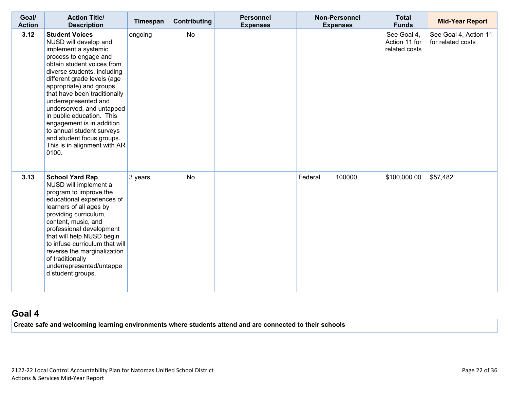| Goal/<br><b>Action</b> | <b>Action Title/</b><br><b>Description</b>                                                                                                                                                                                                                                                                                                                                                                                                                               | Timespan | Contributing | <b>Personnel</b><br><b>Expenses</b> | <b>Non-Personnel</b><br><b>Expenses</b> | <b>Total</b><br><b>Funds</b>                  | <b>Mid-Year Report</b>                     |
|------------------------|--------------------------------------------------------------------------------------------------------------------------------------------------------------------------------------------------------------------------------------------------------------------------------------------------------------------------------------------------------------------------------------------------------------------------------------------------------------------------|----------|--------------|-------------------------------------|-----------------------------------------|-----------------------------------------------|--------------------------------------------|
| 3.12                   | <b>Student Voices</b><br>NUSD will develop and<br>implement a systemic<br>process to engage and<br>obtain student voices from<br>diverse students, including<br>different grade levels (age<br>appropriate) and groups<br>that have been traditionally<br>underrepresented and<br>underserved, and untapped<br>in public education. This<br>engagement is in addition<br>to annual student surveys<br>and student focus groups.<br>This is in alignment with AR<br>0100. | ongoing  | <b>No</b>    |                                     |                                         | See Goal 4,<br>Action 11 for<br>related costs | See Goal 4, Action 11<br>for related costs |
| 3.13                   | <b>School Yard Rap</b><br>NUSD will implement a<br>program to improve the<br>educational experiences of<br>learners of all ages by<br>providing curriculum,<br>content, music, and<br>professional development<br>that will help NUSD begin<br>to infuse curriculum that will<br>reverse the marginalization<br>of traditionally<br>underrepresented/untappe<br>d student groups.                                                                                        | 3 years  | <b>No</b>    |                                     | 100000<br>Federal                       | \$100,000.00                                  | \$57,482                                   |

## **[Goal](http://www.doc-tracking.com/screenshots/20LCAP/Instructions/20LCAPInstructions.htm#goalDescription) 4**

**Create safe and welcoming learning environments where students attend and are connected to their schools**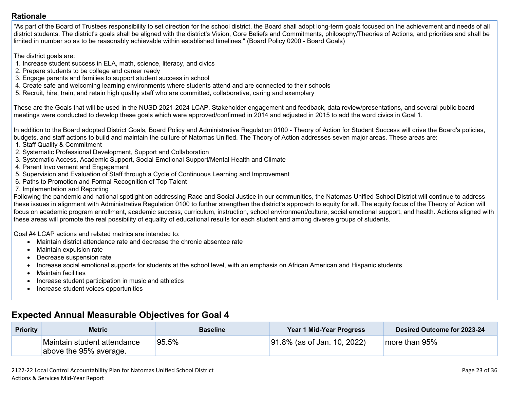#### **[Rationale](http://www.doc-tracking.com/screenshots/20LCAP/Instructions/20LCAPInstructions.htm#ExplanationofWhytheLEADevelopedGoals)**

"As part of the Board of Trustees responsibility to set direction for the school district, the Board shall adopt long-term goals focused on the achievement and needs of all district students. The district's goals shall be aligned with the district's Vision, Core Beliefs and Commitments, philosophy/Theories of Actions, and priorities and shall be limited in number so as to be reasonably achievable within established timelines." (Board Policy 0200 - Board Goals)

The district goals are:

- 1. Increase student success in ELA, math, science, literacy, and civics
- 2. Prepare students to be college and career ready
- 3. Engage parents and families to support student success in school
- 4. Create safe and welcoming learning environments where students attend and are connected to their schools
- 5. Recruit, hire, train, and retain high quality staff who are committed, collaborative, caring and exemplary

These are the Goals that will be used in the NUSD 2021-2024 LCAP. Stakeholder engagement and feedback, data review/presentations, and several public board meetings were conducted to develop these goals which were approved/confirmed in 2014 and adjusted in 2015 to add the word civics in Goal 1.

In addition to the Board adopted District Goals, Board Policy and Administrative Regulation 0100 - Theory of Action for Student Success will drive the Board's policies, budgets, and staff actions to build and maintain the culture of Natomas Unified. The Theory of Action addresses seven major areas. These areas are:

- 1. Staff Quality & Commitment
- 2. Systematic Professional Development, Support and Collaboration
- 3. Systematic Access, Academic Support, Social Emotional Support/Mental Health and Climate
- 4. Parent Involvement and Engagement
- 5. Supervision and Evaluation of Staff through a Cycle of Continuous Learning and Improvement
- 6. Paths to Promotion and Formal Recognition of Top Talent
- 7. Implementation and Reporting

Following the pandemic and national spotlight on addressing Race and Social Justice in our communities, the Natomas Unified School District will continue to address these issues in alignment with Administrative Regulation 0100 to further strengthen the district's approach to equity for all. The equity focus of the Theory of Action will focus on academic program enrollment, academic success, curriculum, instruction, school environment/culture, social emotional support, and health. Actions aligned with these areas will promote the real possibility of equality of educational results for each student and among diverse groups of students.

Goal #4 LCAP actions and related metrics are intended to:

- Maintain district attendance rate and decrease the chronic absentee rate
- Maintain expulsion rate
- Decrease suspension rate
- Increase social emotional supports for students at the school level, with an emphasis on African American and Hispanic students
- Maintain facilities
- Increase student participation in music and athletics
- Increase student voices opportunities

| <b>Priority</b> | <b>Metric</b>                                         | <b>Baseline</b> | Year 1 Mid-Year Progress    | Desired Outcome for 2023-24 |
|-----------------|-------------------------------------------------------|-----------------|-----------------------------|-----------------------------|
|                 | Maintain student attendance<br>above the 95% average. | 95.5%           | 91.8% (as of Jan. 10, 2022) | more than 95%               |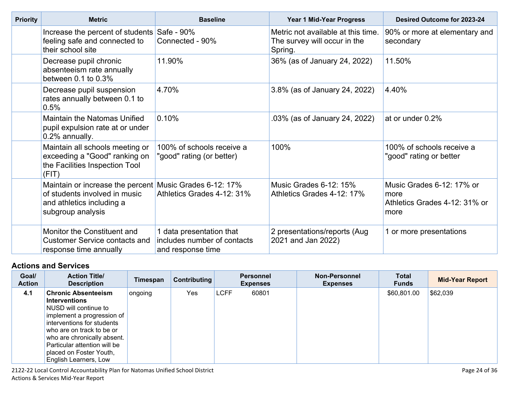| <b>Priority</b> | <b>Metric</b>                                                                                                                              | <b>Baseline</b>                                                              | <b>Year 1 Mid-Year Progress</b>                                               | <b>Desired Outcome for 2023-24</b>                                         |
|-----------------|--------------------------------------------------------------------------------------------------------------------------------------------|------------------------------------------------------------------------------|-------------------------------------------------------------------------------|----------------------------------------------------------------------------|
|                 | Increase the percent of students Safe - 90%<br>feeling safe and connected to<br>their school site                                          | Connected - 90%                                                              | Metric not available at this time.<br>The survey will occur in the<br>Spring. | 90% or more at elementary and<br>secondary                                 |
|                 | Decrease pupil chronic<br>absenteeism rate annually<br>between $0.1$ to $0.3\%$                                                            | 11.90%                                                                       | 36% (as of January 24, 2022)                                                  | 11.50%                                                                     |
|                 | Decrease pupil suspension<br>rates annually between 0.1 to<br>0.5%                                                                         | 4.70%                                                                        | 3.8% (as of January 24, 2022)                                                 | 4.40%                                                                      |
|                 | Maintain the Natomas Unified<br>pupil expulsion rate at or under<br>0.2% annually.                                                         | 0.10%                                                                        | .03% (as of January 24, 2022)                                                 | at or under 0.2%                                                           |
|                 | Maintain all schools meeting or<br>exceeding a "Good" ranking on<br>the Facilities Inspection Tool<br>(FIT)                                | 100% of schools receive a<br>"good" rating (or better)                       | 100%                                                                          | 100% of schools receive a<br>"good" rating or better                       |
|                 | Maintain or increase the percent Music Grades 6-12: 17%<br>of students involved in music<br>and athletics including a<br>subgroup analysis | Athletics Grades 4-12: 31%                                                   | Music Grades 6-12: 15%<br>Athletics Grades 4-12: 17%                          | Music Grades 6-12: 17% or<br>more<br>Athletics Grades 4-12: 31% or<br>more |
|                 | Monitor the Constituent and<br><b>Customer Service contacts and</b><br>response time annually                                              | 1 data presentation that<br>includes number of contacts<br>and response time | 2 presentations/reports (Aug<br>2021 and Jan 2022)                            | 1 or more presentations                                                    |

| Goal/<br><b>Action</b> | <b>Action Title/</b><br><b>Description</b>                                                                                                                                                                                                                                              | Timespan | <b>Contributing</b> |             | <b>Personnel</b><br><b>Expenses</b> | <b>Non-Personnel</b><br><b>Expenses</b> | <b>Total</b><br><b>Funds</b> | <b>Mid-Year Report</b> |
|------------------------|-----------------------------------------------------------------------------------------------------------------------------------------------------------------------------------------------------------------------------------------------------------------------------------------|----------|---------------------|-------------|-------------------------------------|-----------------------------------------|------------------------------|------------------------|
| 4.1                    | <b>Chronic Absenteeism</b><br><b>Interventions</b><br>NUSD will continue to<br>implement a progression of<br>interventions for students<br>who are on track to be or<br>who are chronically absent.<br>Particular attention will be<br>placed on Foster Youth,<br>English Learners, Low | ongoing  | Yes                 | <b>LCFF</b> | 60801                               |                                         | \$60,801.00                  | \$62,039               |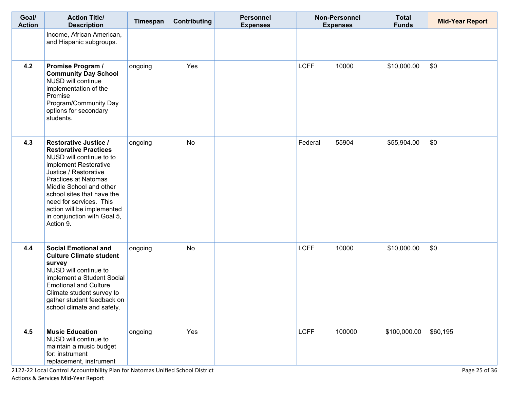| Goal/<br><b>Action</b> | <b>Action Title/</b><br><b>Description</b>                                                                                                                                                                                                                                                                                              | Timespan | Contributing | <b>Personnel</b><br><b>Expenses</b> | <b>Non-Personnel</b><br><b>Expenses</b> | <b>Total</b><br><b>Funds</b> | <b>Mid-Year Report</b> |
|------------------------|-----------------------------------------------------------------------------------------------------------------------------------------------------------------------------------------------------------------------------------------------------------------------------------------------------------------------------------------|----------|--------------|-------------------------------------|-----------------------------------------|------------------------------|------------------------|
|                        | Income, African American,<br>and Hispanic subgroups.                                                                                                                                                                                                                                                                                    |          |              |                                     |                                         |                              |                        |
| 4.2                    | Promise Program /<br><b>Community Day School</b><br>NUSD will continue<br>implementation of the<br>Promise<br>Program/Community Day<br>options for secondary<br>students.                                                                                                                                                               | ongoing  | Yes          |                                     | <b>LCFF</b><br>10000                    | \$10,000.00                  | \$0                    |
| 4.3                    | <b>Restorative Justice /</b><br><b>Restorative Practices</b><br>NUSD will continue to to<br>implement Restorative<br>Justice / Restorative<br><b>Practices at Natomas</b><br>Middle School and other<br>school sites that have the<br>need for services. This<br>action will be implemented<br>in conjunction with Goal 5,<br>Action 9. | ongoing  | <b>No</b>    |                                     | Federal<br>55904                        | \$55,904.00                  | \$0                    |
| 4.4                    | <b>Social Emotional and</b><br><b>Culture Climate student</b><br>survey<br>NUSD will continue to<br>implement a Student Social<br><b>Emotional and Culture</b><br>Climate student survey to<br>gather student feedback on<br>school climate and safety.                                                                                 | ongoing  | No           |                                     | <b>LCFF</b><br>10000                    | \$10,000.00                  | \$0                    |
| 4.5                    | <b>Music Education</b><br>NUSD will continue to<br>maintain a music budget<br>for: instrument<br>replacement, instrument                                                                                                                                                                                                                | ongoing  | Yes          |                                     | <b>LCFF</b><br>100000                   | \$100,000.00                 | \$60,195               |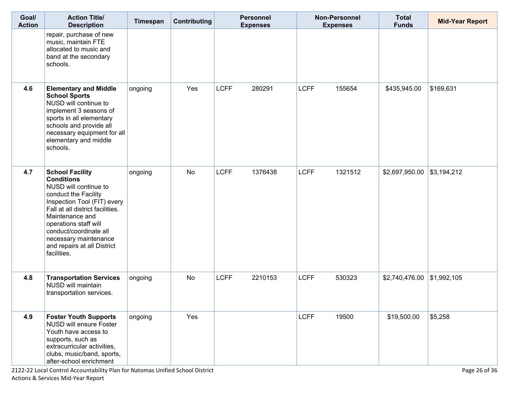| Goal/<br><b>Action</b> | <b>Action Title/</b><br><b>Description</b>                                                                                                                                                                                                                                                                   | Timespan | Contributing | <b>Personnel</b><br><b>Expenses</b> |             | <b>Non-Personnel</b><br><b>Expenses</b> | <b>Total</b><br><b>Funds</b> | <b>Mid-Year Report</b> |
|------------------------|--------------------------------------------------------------------------------------------------------------------------------------------------------------------------------------------------------------------------------------------------------------------------------------------------------------|----------|--------------|-------------------------------------|-------------|-----------------------------------------|------------------------------|------------------------|
|                        | repair, purchase of new<br>music, maintain FTE<br>allocated to music and<br>band at the secondary<br>schools.                                                                                                                                                                                                |          |              |                                     |             |                                         |                              |                        |
| 4.6                    | <b>Elementary and Middle</b><br><b>School Sports</b><br>NUSD will continue to<br>implement 3 seasons of<br>sports in all elementary<br>schools and provide all<br>necessary equipment for all<br>elementary and middle<br>schools.                                                                           | ongoing  | Yes          | <b>LCFF</b><br>280291               | <b>LCFF</b> | 155654                                  | \$435,945.00                 | \$169,631              |
| 4.7                    | <b>School Facility</b><br><b>Conditions</b><br>NUSD will continue to<br>conduct the Facility<br>Inspection Tool (FIT) every<br>Fall at all district facilities.<br>Maintenance and<br>operations staff will<br>conduct/coordinate all<br>necessary maintenance<br>and repairs at all District<br>facilities. | ongoing  | No           | <b>LCFF</b><br>1376438              | <b>LCFF</b> | 1321512                                 | \$2,697,950.00               | \$3,194,212            |
| 4.8                    | <b>Transportation Services</b><br>NUSD will maintain<br>transportation services.                                                                                                                                                                                                                             | ongoing  | No           | <b>LCFF</b><br>2210153              | <b>LCFF</b> | 530323                                  | $$2,740,476.00$ \\$1,992,105 |                        |
| 4.9                    | <b>Foster Youth Supports</b><br><b>NUSD will ensure Foster</b><br>Youth have access to<br>supports, such as<br>extracurricular activities,<br>clubs, music/band, sports,<br>after-school enrichment                                                                                                          | ongoing  | Yes          |                                     | <b>LCFF</b> | 19500                                   | \$19,500.00                  | \$5,258                |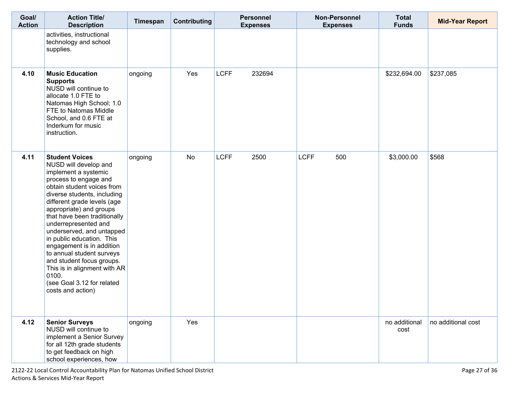| Goal/<br><b>Action</b> | <b>Action Title/</b><br><b>Description</b>                                                                                                                                                                                                                                                                                                                                                                                                                                                                                  | Timespan | Contributing |             | <b>Personnel</b><br><b>Expenses</b> | <b>Non-Personnel</b><br><b>Expenses</b> | <b>Total</b><br><b>Funds</b> | <b>Mid-Year Report</b> |
|------------------------|-----------------------------------------------------------------------------------------------------------------------------------------------------------------------------------------------------------------------------------------------------------------------------------------------------------------------------------------------------------------------------------------------------------------------------------------------------------------------------------------------------------------------------|----------|--------------|-------------|-------------------------------------|-----------------------------------------|------------------------------|------------------------|
|                        | activities, instructional<br>technology and school<br>supplies.                                                                                                                                                                                                                                                                                                                                                                                                                                                             |          |              |             |                                     |                                         |                              |                        |
| 4.10                   | <b>Music Education</b><br><b>Supports</b><br>NUSD will continue to<br>allocate 1.0 FTE to<br>Natomas High School; 1.0<br>FTE to Natomas Middle<br>School, and 0.6 FTE at<br>Inderkum for music<br>instruction.                                                                                                                                                                                                                                                                                                              | ongoing  | Yes          | <b>LCFF</b> | 232694                              |                                         | \$232,694.00                 | \$237,085              |
| 4.11                   | <b>Student Voices</b><br>NUSD will develop and<br>implement a systemic<br>process to engage and<br>obtain student voices from<br>diverse students, including<br>different grade levels (age<br>appropriate) and groups<br>that have been traditionally<br>underrepresented and<br>underserved, and untapped<br>in public education. This<br>engagement is in addition<br>to annual student surveys<br>and student focus groups.<br>This is in alignment with AR<br>0100.<br>(see Goal 3.12 for related<br>costs and action) | ongoing  | <b>No</b>    | <b>LCFF</b> | 2500                                | <b>LCFF</b><br>500                      | \$3,000.00                   | \$568                  |
| 4.12                   | <b>Senior Surveys</b><br>NUSD will continue to<br>implement a Senior Survey<br>for all 12th grade students<br>to get feedback on high<br>school experiences, how                                                                                                                                                                                                                                                                                                                                                            | ongoing  | Yes          |             |                                     |                                         | no additional<br>cost        | no additional cost     |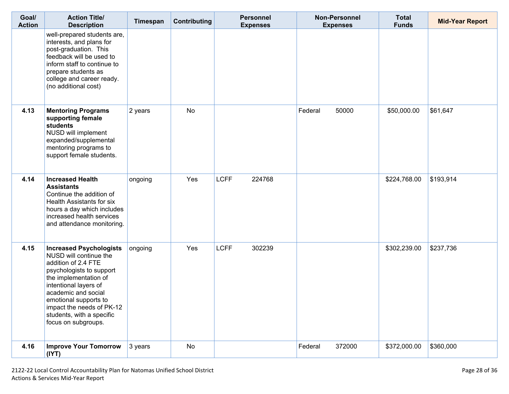| Goal/<br><b>Action</b> | <b>Action Title/</b><br><b>Description</b>                                                                                                                                                                                                                                                     | Timespan | <b>Contributing</b> | <b>Personnel</b><br><b>Expenses</b> | <b>Non-Personnel</b><br><b>Expenses</b> | <b>Total</b><br><b>Funds</b> | <b>Mid-Year Report</b> |
|------------------------|------------------------------------------------------------------------------------------------------------------------------------------------------------------------------------------------------------------------------------------------------------------------------------------------|----------|---------------------|-------------------------------------|-----------------------------------------|------------------------------|------------------------|
|                        | well-prepared students are,<br>interests, and plans for<br>post-graduation. This<br>feedback will be used to<br>inform staff to continue to<br>prepare students as<br>college and career ready.<br>(no additional cost)                                                                        |          |                     |                                     |                                         |                              |                        |
| 4.13                   | <b>Mentoring Programs</b><br>supporting female<br>students<br>NUSD will implement<br>expanded/supplemental<br>mentoring programs to<br>support female students.                                                                                                                                | 2 years  | <b>No</b>           |                                     | 50000<br>Federal                        | \$50,000.00                  | \$61,647               |
| 4.14                   | <b>Increased Health</b><br><b>Assistants</b><br>Continue the addition of<br><b>Health Assistants for six</b><br>hours a day which includes<br>increased health services<br>and attendance monitoring.                                                                                          | ongoing  | Yes                 | <b>LCFF</b><br>224768               |                                         | \$224,768.00                 | \$193,914              |
| 4.15                   | <b>Increased Psychologists</b><br>NUSD will continue the<br>addition of 2.4 FTE<br>psychologists to support<br>the implementation of<br>intentional layers of<br>academic and social<br>emotional supports to<br>impact the needs of PK-12<br>students, with a specific<br>focus on subgroups. | ongoing  | Yes                 | <b>LCFF</b><br>302239               |                                         | \$302,239.00                 | \$237,736              |
| 4.16                   | <b>Improve Your Tomorrow</b><br>(IVT)                                                                                                                                                                                                                                                          | 3 years  | No                  |                                     | Federal<br>372000                       | \$372,000.00                 | \$360,000              |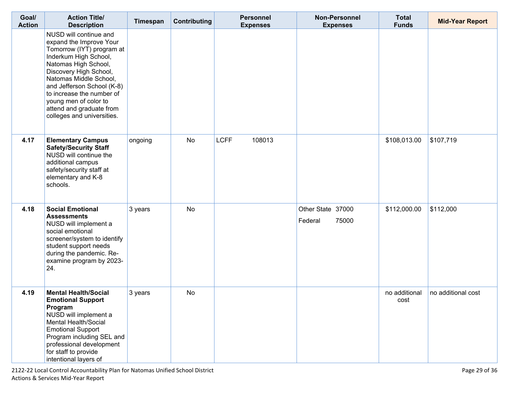| Goal/<br><b>Action</b> | <b>Action Title/</b><br><b>Description</b>                                                                                                                                                                                                                                                                                        | Timespan | <b>Contributing</b> | <b>Personnel</b><br><b>Expenses</b> | <b>Non-Personnel</b><br><b>Expenses</b> | <b>Total</b><br><b>Funds</b> | <b>Mid-Year Report</b> |
|------------------------|-----------------------------------------------------------------------------------------------------------------------------------------------------------------------------------------------------------------------------------------------------------------------------------------------------------------------------------|----------|---------------------|-------------------------------------|-----------------------------------------|------------------------------|------------------------|
|                        | NUSD will continue and<br>expand the Improve Your<br>Tomorrow (IYT) program at<br>Inderkum High School,<br>Natomas High School,<br>Discovery High School,<br>Natomas Middle School,<br>and Jefferson School (K-8)<br>to increase the number of<br>young men of color to<br>attend and graduate from<br>colleges and universities. |          |                     |                                     |                                         |                              |                        |
| 4.17                   | <b>Elementary Campus</b><br><b>Safety/Security Staff</b><br>NUSD will continue the<br>additional campus<br>safety/security staff at<br>elementary and K-8<br>schools.                                                                                                                                                             | ongoing  | No                  | <b>LCFF</b><br>108013               |                                         | \$108,013.00                 | \$107,719              |
| 4.18                   | <b>Social Emotional</b><br><b>Assessments</b><br>NUSD will implement a<br>social emotional<br>screener/system to identify<br>student support needs<br>during the pandemic. Re-<br>examine program by 2023-<br>24.                                                                                                                 | 3 years  | <b>No</b>           |                                     | Other State 37000<br>75000<br>Federal   | \$112,000.00                 | \$112,000              |
| 4.19                   | <b>Mental Health/Social</b><br><b>Emotional Support</b><br>Program<br>NUSD will implement a<br>Mental Health/Social<br><b>Emotional Support</b><br>Program including SEL and<br>professional development<br>for staff to provide<br>intentional layers of                                                                         | 3 years  | <b>No</b>           |                                     |                                         | no additional<br>cost        | no additional cost     |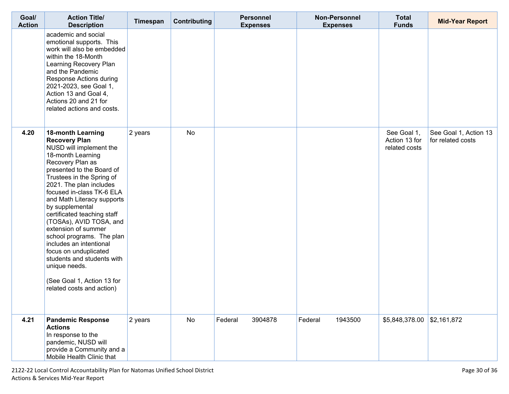| Goal/<br><b>Action</b> | <b>Action Title/</b><br><b>Description</b>                                                                                                                                                                                                                                                                                                                                                                                                                                                                                                                          | Timespan | Contributing | <b>Personnel</b><br><b>Expenses</b> | <b>Non-Personnel</b><br><b>Expenses</b> | <b>Total</b><br><b>Funds</b>                  | <b>Mid-Year Report</b>                     |
|------------------------|---------------------------------------------------------------------------------------------------------------------------------------------------------------------------------------------------------------------------------------------------------------------------------------------------------------------------------------------------------------------------------------------------------------------------------------------------------------------------------------------------------------------------------------------------------------------|----------|--------------|-------------------------------------|-----------------------------------------|-----------------------------------------------|--------------------------------------------|
|                        | academic and social<br>emotional supports. This<br>work will also be embedded<br>within the 18-Month<br>Learning Recovery Plan<br>and the Pandemic<br>Response Actions during<br>2021-2023, see Goal 1,<br>Action 13 and Goal 4,<br>Actions 20 and 21 for<br>related actions and costs.                                                                                                                                                                                                                                                                             |          |              |                                     |                                         |                                               |                                            |
| 4.20                   | <b>18-month Learning</b><br><b>Recovery Plan</b><br>NUSD will implement the<br>18-month Learning<br>Recovery Plan as<br>presented to the Board of<br>Trustees in the Spring of<br>2021. The plan includes<br>focused in-class TK-6 ELA<br>and Math Literacy supports<br>by supplemental<br>certificated teaching staff<br>(TOSAs), AVID TOSA, and<br>extension of summer<br>school programs. The plan<br>includes an intentional<br>focus on unduplicated<br>students and students with<br>unique needs.<br>(See Goal 1, Action 13 for<br>related costs and action) | 2 years  | <b>No</b>    |                                     |                                         | See Goal 1,<br>Action 13 for<br>related costs | See Goal 1, Action 13<br>for related costs |
| 4.21                   | <b>Pandemic Response</b><br><b>Actions</b><br>In response to the<br>pandemic, NUSD will<br>provide a Community and a<br>Mobile Health Clinic that                                                                                                                                                                                                                                                                                                                                                                                                                   | 2 years  | No           | Federal<br>3904878                  | Federal<br>1943500                      | $$5,848,378.00$ \\$2,161,872                  |                                            |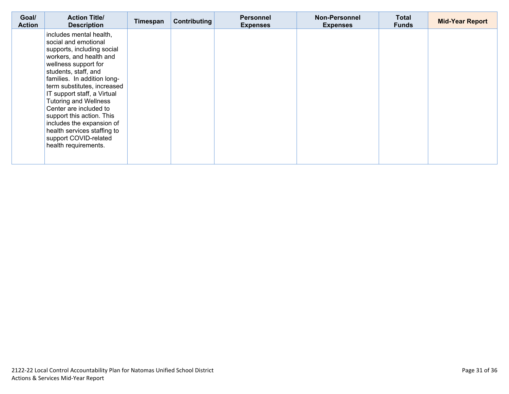| Goal/<br><b>Action</b> | <b>Action Title/</b><br><b>Description</b>                                                                                                                                                                                                                                                                                                                                                                                                                | Timespan | Contributing | <b>Personnel</b><br><b>Expenses</b> | <b>Non-Personnel</b><br><b>Expenses</b> | <b>Total</b><br><b>Funds</b> | <b>Mid-Year Report</b> |
|------------------------|-----------------------------------------------------------------------------------------------------------------------------------------------------------------------------------------------------------------------------------------------------------------------------------------------------------------------------------------------------------------------------------------------------------------------------------------------------------|----------|--------------|-------------------------------------|-----------------------------------------|------------------------------|------------------------|
|                        | includes mental health,<br>social and emotional<br>supports, including social<br>workers, and health and<br>wellness support for<br>students, staff, and<br>families. In addition long-<br>term substitutes, increased<br>IT support staff, a Virtual<br><b>Tutoring and Wellness</b><br>Center are included to<br>support this action. This<br>includes the expansion of<br>health services staffing to<br>support COVID-related<br>health requirements. |          |              |                                     |                                         |                              |                        |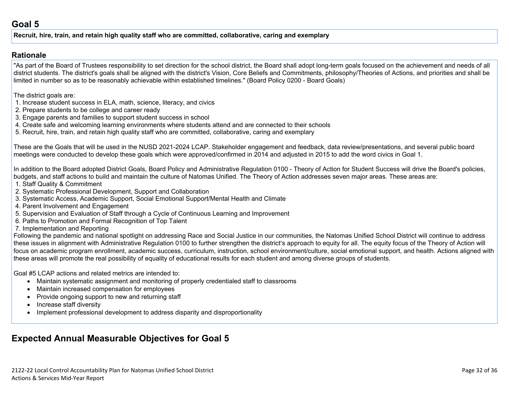#### **Recruit, hire, train, and retain high quality staff who are committed, collaborative, caring and exemplary**

#### **[Rationale](http://www.doc-tracking.com/screenshots/20LCAP/Instructions/20LCAPInstructions.htm#ExplanationofWhytheLEADevelopedGoals)**

"As part of the Board of Trustees responsibility to set direction for the school district, the Board shall adopt long-term goals focused on the achievement and needs of all district students. The district's goals shall be aligned with the district's Vision, Core Beliefs and Commitments, philosophy/Theories of Actions, and priorities and shall be limited in number so as to be reasonably achievable within established timelines." (Board Policy 0200 - Board Goals)

The district goals are:

- 1. Increase student success in ELA, math, science, literacy, and civics
- 2. Prepare students to be college and career ready
- 3. Engage parents and families to support student success in school
- 4. Create safe and welcoming learning environments where students attend and are connected to their schools
- 5. Recruit, hire, train, and retain high quality staff who are committed, collaborative, caring and exemplary

These are the Goals that will be used in the NUSD 2021-2024 LCAP. Stakeholder engagement and feedback, data review/presentations, and several public board meetings were conducted to develop these goals which were approved/confirmed in 2014 and adjusted in 2015 to add the word civics in Goal 1.

In addition to the Board adopted District Goals, Board Policy and Administrative Regulation 0100 - Theory of Action for Student Success will drive the Board's policies, budgets, and staff actions to build and maintain the culture of Natomas Unified. The Theory of Action addresses seven major areas. These areas are:

- 1. Staff Quality & Commitment
- 2. Systematic Professional Development, Support and Collaboration
- 3. Systematic Access, Academic Support, Social Emotional Support/Mental Health and Climate
- 4. Parent Involvement and Engagement
- 5. Supervision and Evaluation of Staff through a Cycle of Continuous Learning and Improvement
- 6. Paths to Promotion and Formal Recognition of Top Talent
- 7. Implementation and Reporting

Following the pandemic and national spotlight on addressing Race and Social Justice in our communities, the Natomas Unified School District will continue to address these issues in alignment with Administrative Regulation 0100 to further strengthen the district's approach to equity for all. The equity focus of the Theory of Action will focus on academic program enrollment, academic success, curriculum, instruction, school environment/culture, social emotional support, and health. Actions aligned with these areas will promote the real possibility of equality of educational results for each student and among diverse groups of students.

Goal #5 LCAP actions and related metrics are intended to:

- Maintain systematic assignment and monitoring of properly credentialed staff to classrooms
- Maintain increased compensation for employees
- Provide ongoing support to new and returning staff
- Increase staff diversity
- Implement professional development to address disparity and disproportionality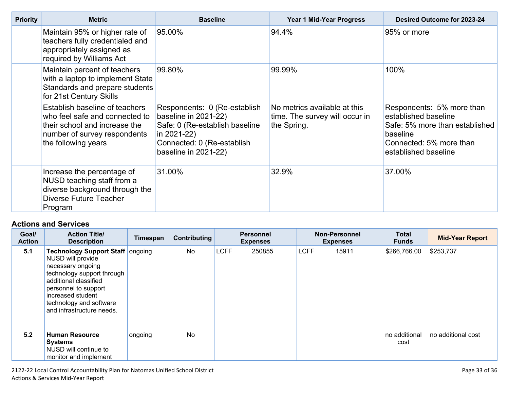| <b>Priority</b> | <b>Metric</b>                                                                                                                                            | <b>Baseline</b>                                                                                                                                             | <b>Year 1 Mid-Year Progress</b>                                               | Desired Outcome for 2023-24                                                                                                                        |  |
|-----------------|----------------------------------------------------------------------------------------------------------------------------------------------------------|-------------------------------------------------------------------------------------------------------------------------------------------------------------|-------------------------------------------------------------------------------|----------------------------------------------------------------------------------------------------------------------------------------------------|--|
|                 | Maintain 95% or higher rate of<br>teachers fully credentialed and<br>appropriately assigned as<br>required by Williams Act                               | 95.00%                                                                                                                                                      | 94.4%                                                                         | 95% or more                                                                                                                                        |  |
|                 | Maintain percent of teachers<br>with a laptop to implement State<br>Standards and prepare students<br>for 21st Century Skills                            | 99.80%                                                                                                                                                      | 99.99%                                                                        | 100%                                                                                                                                               |  |
|                 | Establish baseline of teachers<br>who feel safe and connected to<br>their school and increase the<br>number of survey respondents<br>the following years | Respondents: 0 (Re-establish<br>baseline in 2021-22)<br>Safe: 0 (Re-establish baseline<br>in 2021-22)<br>Connected: 0 (Re-establish<br>baseline in 2021-22) | No metrics available at this<br>time. The survey will occur in<br>the Spring. | Respondents: 5% more than<br>established baseline<br>Safe: 5% more than established<br>baseline<br>Connected: 5% more than<br>established baseline |  |
|                 | Increase the percentage of<br>NUSD teaching staff from a<br>diverse background through the<br>Diverse Future Teacher<br>Program                          | 31.00%                                                                                                                                                      | 32.9%                                                                         | 37.00%                                                                                                                                             |  |

| Goal/<br><b>Action</b> | <b>Action Title/</b><br><b>Description</b>                                                                                                                                                                                                    | Timespan | Contributing | <b>Personnel</b><br><b>Expenses</b> |             | <b>Non-Personnel</b><br><b>Expenses</b> | <b>Total</b><br><b>Funds</b> | <b>Mid-Year Report</b> |
|------------------------|-----------------------------------------------------------------------------------------------------------------------------------------------------------------------------------------------------------------------------------------------|----------|--------------|-------------------------------------|-------------|-----------------------------------------|------------------------------|------------------------|
| 5.1                    | <b>Technology Support Staff ongoing</b><br>NUSD will provide<br>necessary ongoing<br>technology support through<br>additional classified<br>personnel to support<br>increased student<br>technology and software<br>and infrastructure needs. |          | <b>No</b>    | <b>LCFF</b><br>250855               | <b>LCFF</b> | 15911                                   | \$266,766.00                 | \$253,737              |
| 5.2                    | <b>Human Resource</b><br><b>Systems</b><br>NUSD will continue to<br>monitor and implement                                                                                                                                                     | ongoing  | <b>No</b>    |                                     |             |                                         | no additional<br>cost        | no additional cost     |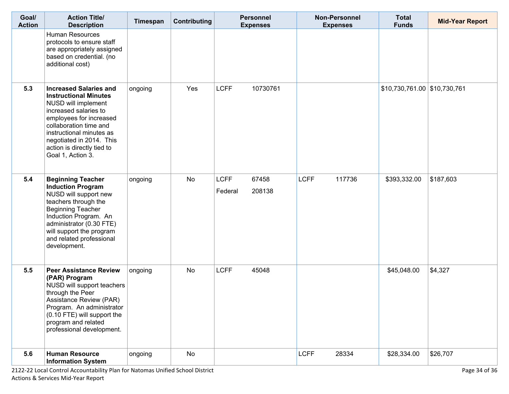| Goal/<br><b>Action</b> | <b>Action Title/</b><br><b>Description</b>                                                                                                                                                                                                                                    | Timespan | Contributing | <b>Personnel</b><br><b>Expenses</b>       |  | <b>Non-Personnel</b><br><b>Expenses</b> |        | <b>Total</b><br><b>Funds</b>   | <b>Mid-Year Report</b> |
|------------------------|-------------------------------------------------------------------------------------------------------------------------------------------------------------------------------------------------------------------------------------------------------------------------------|----------|--------------|-------------------------------------------|--|-----------------------------------------|--------|--------------------------------|------------------------|
|                        | <b>Human Resources</b><br>protocols to ensure staff<br>are appropriately assigned<br>based on credential. (no<br>additional cost)                                                                                                                                             |          |              |                                           |  |                                         |        |                                |                        |
| 5.3                    | <b>Increased Salaries and</b><br><b>Instructional Minutes</b><br>NUSD will implement<br>increased salaries to<br>employees for increased<br>collaboration time and<br>instructional minutes as<br>negotiated in 2014. This<br>action is directly tied to<br>Goal 1, Action 3. | ongoing  | Yes          | <b>LCFF</b><br>10730761                   |  |                                         |        | $$10,730,761.00$ $$10,730,761$ |                        |
| 5.4                    | <b>Beginning Teacher</b><br><b>Induction Program</b><br>NUSD will support new<br>teachers through the<br><b>Beginning Teacher</b><br>Induction Program. An<br>administrator (0.30 FTE)<br>will support the program<br>and related professional<br>development.                | ongoing  | No           | <b>LCFF</b><br>67458<br>Federal<br>208138 |  | <b>LCFF</b>                             | 117736 | \$393,332.00                   | \$187,603              |
| 5.5                    | <b>Peer Assistance Review</b><br>(PAR) Program<br>NUSD will support teachers<br>through the Peer<br>Assistance Review (PAR)<br>Program. An administrator<br>(0.10 FTE) will support the<br>program and related<br>professional development.                                   | ongoing  | <b>No</b>    | <b>LCFF</b><br>45048                      |  |                                         |        | \$45,048.00                    | \$4,327                |
| 5.6                    | <b>Human Resource</b><br><b>Information System</b>                                                                                                                                                                                                                            | ongoing  | <b>No</b>    |                                           |  | <b>LCFF</b>                             | 28334  | \$28,334.00                    | \$26,707               |

2122-22 Local Control Accountability Plan for Natomas Unified School District Page 34 of 36 Actions & Services Mid-Year Report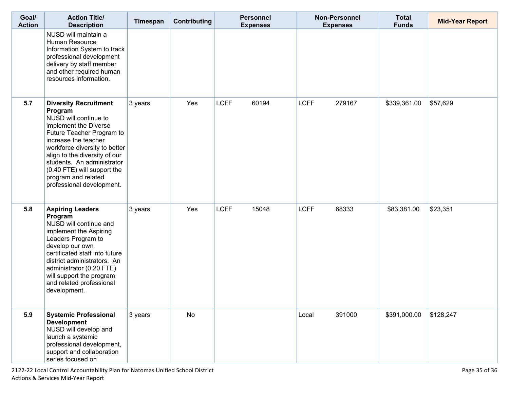| Goal/<br><b>Action</b> | <b>Action Title/</b><br><b>Description</b>                                                                                                                                                                                                                                                                                        | Timespan | <b>Contributing</b> | <b>Personnel</b><br><b>Expenses</b> | <b>Non-Personnel</b><br><b>Expenses</b> | <b>Total</b><br><b>Funds</b> | <b>Mid-Year Report</b> |
|------------------------|-----------------------------------------------------------------------------------------------------------------------------------------------------------------------------------------------------------------------------------------------------------------------------------------------------------------------------------|----------|---------------------|-------------------------------------|-----------------------------------------|------------------------------|------------------------|
|                        | NUSD will maintain a<br>Human Resource<br>Information System to track<br>professional development<br>delivery by staff member<br>and other required human<br>resources information.                                                                                                                                               |          |                     |                                     |                                         |                              |                        |
| 5.7                    | <b>Diversity Recruitment</b><br>Program<br>NUSD will continue to<br>implement the Diverse<br>Future Teacher Program to<br>increase the teacher<br>workforce diversity to better<br>align to the diversity of our<br>students. An administrator<br>(0.40 FTE) will support the<br>program and related<br>professional development. | 3 years  | Yes                 | <b>LCFF</b><br>60194                | <b>LCFF</b><br>279167                   | \$339,361.00                 | \$57,629               |
| 5.8                    | <b>Aspiring Leaders</b><br>Program<br>NUSD will continue and<br>implement the Aspiring<br>Leaders Program to<br>develop our own<br>certificated staff into future<br>district administrators. An<br>administrator (0.20 FTE)<br>will support the program<br>and related professional<br>development.                              | 3 years  | Yes                 | <b>LCFF</b><br>15048                | <b>LCFF</b><br>68333                    | \$83,381.00                  | \$23,351               |
| 5.9                    | <b>Systemic Professional</b><br><b>Development</b><br>NUSD will develop and<br>launch a systemic<br>professional development,<br>support and collaboration<br>series focused on                                                                                                                                                   | 3 years  | <b>No</b>           |                                     | 391000<br>Local                         | \$391,000.00                 | \$128,247              |